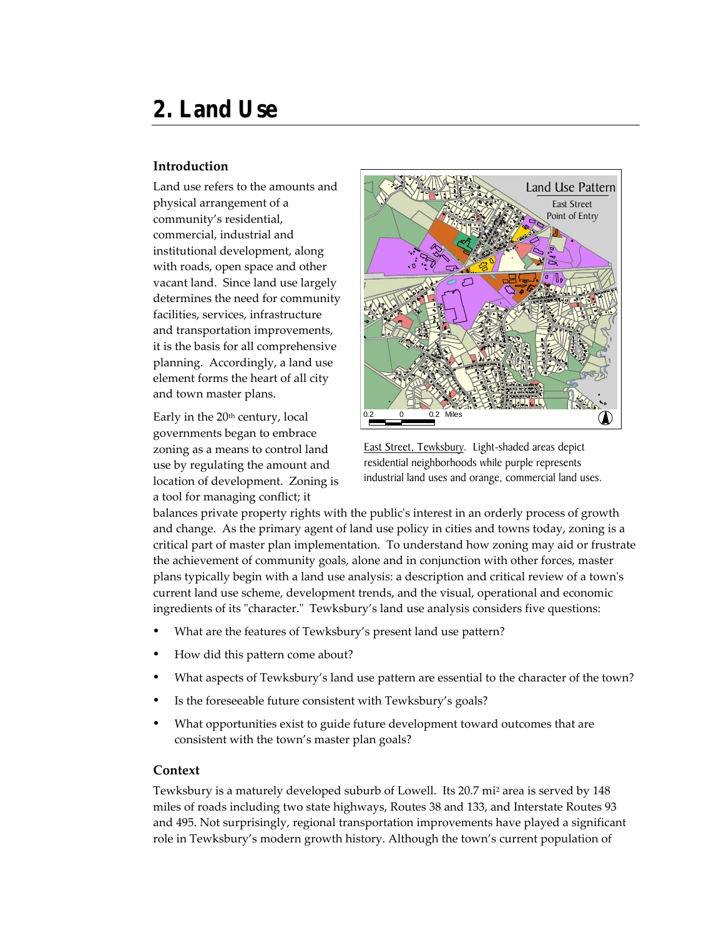# **2. Land Use**

#### **Introduction**

Land use refers to the amounts and physical arrangement of a community's residential, commercial, industrial and institutional development, along with roads, open space and other vacant land. Since land use largely determines the need for community facilities, services, infrastructure and transportation improvements, it is the basis for all comprehensive planning. Accordingly, a land use element forms the heart of all city and town master plans.

Early in the 20<sup>th</sup> century, local governments began to embrace zoning as a means to control land use by regulating the amount and location of development. Zoning is a tool for managing conflict; it



East Street, Tewksbury. Light-shaded areas depict residential neighborhoods while purple represents industrial land uses and orange, commercial land uses.

balances private property rights with the public's interest in an orderly process of growth and change. As the primary agent of land use policy in cities and towns today, zoning is a critical part of master plan implementation. To understand how zoning may aid or frustrate the achievement of community goals, alone and in conjunction with other forces, master plans typically begin with a land use analysis: a description and critical review of a town's current land use scheme, development trends, and the visual, operational and economic ingredients of its "character." Tewksbury's land use analysis considers five questions:

- What are the features of Tewksbury's present land use pattern?
- How did this pattern come about?
- What aspects of Tewksbury's land use pattern are essential to the character of the town?
- Is the foreseeable future consistent with Tewksbury's goals?
- What opportunities exist to guide future development toward outcomes that are consistent with the town's master plan goals?

#### **Context**

Tewksbury is a maturely developed suburb of Lowell. Its 20.7 mi<sup>2</sup> area is served by 148 miles of roads including two state highways, Routes 38 and 133, and Interstate Routes 93 and 495. Not surprisingly, regional transportation improvements have played a significant role in Tewksbury's modern growth history. Although the town's current population of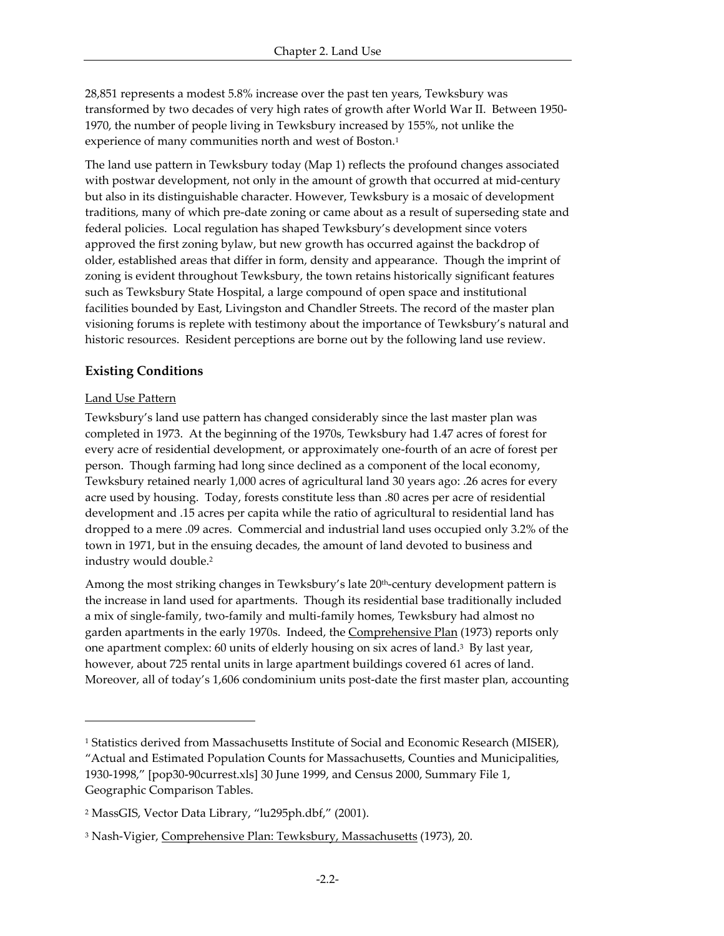28,851 represents a modest 5.8% increase over the past ten years, Tewksbury was transformed by two decades of very high rates of growth after World War II. Between 1950- 1970, the number of people living in Tewksbury increased by 155%, not unlike the experience of many communities north and west of Boston.<sup>1</sup>

The land use pattern in Tewksbury today (Map 1) reflects the profound changes associated with postwar development, not only in the amount of growth that occurred at mid-century but also in its distinguishable character. However, Tewksbury is a mosaic of development traditions, many of which pre-date zoning or came about as a result of superseding state and federal policies. Local regulation has shaped Tewksbury's development since voters approved the first zoning bylaw, but new growth has occurred against the backdrop of older, established areas that differ in form, density and appearance. Though the imprint of zoning is evident throughout Tewksbury, the town retains historically significant features such as Tewksbury State Hospital, a large compound of open space and institutional facilities bounded by East, Livingston and Chandler Streets. The record of the master plan visioning forums is replete with testimony about the importance of Tewksbury's natural and historic resources. Resident perceptions are borne out by the following land use review.

# **Existing Conditions**

# Land Use Pattern

-

Tewksbury's land use pattern has changed considerably since the last master plan was completed in 1973. At the beginning of the 1970s, Tewksbury had 1.47 acres of forest for every acre of residential development, or approximately one-fourth of an acre of forest per person. Though farming had long since declined as a component of the local economy, Tewksbury retained nearly 1,000 acres of agricultural land 30 years ago: .26 acres for every acre used by housing. Today, forests constitute less than .80 acres per acre of residential development and .15 acres per capita while the ratio of agricultural to residential land has dropped to a mere .09 acres. Commercial and industrial land uses occupied only 3.2% of the town in 1971, but in the ensuing decades, the amount of land devoted to business and industry would double.<sup>2</sup>

Among the most striking changes in Tewksbury's late 20<sup>th</sup>-century development pattern is the increase in land used for apartments. Though its residential base traditionally included a mix of single-family, two-family and multi-family homes, Tewksbury had almost no garden apartments in the early 1970s. Indeed, the Comprehensive Plan (1973) reports only one apartment complex: 60 units of elderly housing on six acres of land.<sup>3</sup> By last year, however, about 725 rental units in large apartment buildings covered 61 acres of land. Moreover, all of today's 1,606 condominium units post-date the first master plan, accounting

<sup>1</sup> Statistics derived from Massachusetts Institute of Social and Economic Research (MISER), "Actual and Estimated Population Counts for Massachusetts, Counties and Municipalities, 1930-1998," [pop30-90currest.xls] 30 June 1999, and Census 2000, Summary File 1, Geographic Comparison Tables.

<sup>2</sup> MassGIS, Vector Data Library, "lu295ph.dbf," (2001).

<sup>&</sup>lt;sup>3</sup> Nash-Vigier, <u>Comprehensive Plan: Tewksbury, Massachusetts</u> (1973), 20.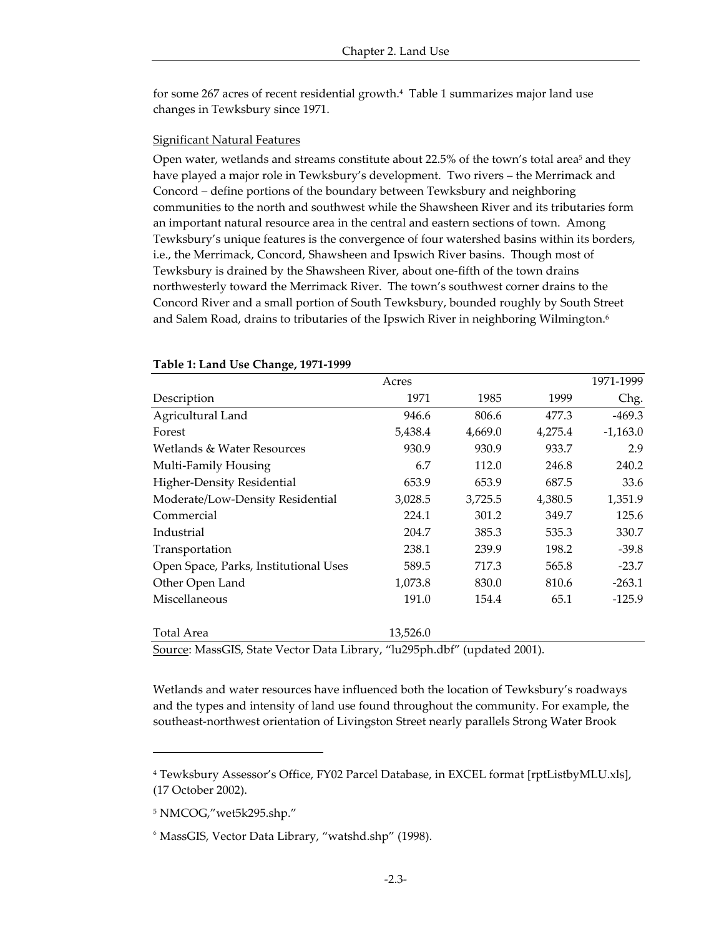for some 267 acres of recent residential growth.<sup>4</sup> Table 1 summarizes major land use changes in Tewksbury since 1971.

#### Significant Natural Features

Open water, wetlands and streams constitute about 22.5% of the town's total area<sup>5</sup> and they have played a major role in Tewksbury's development. Two rivers – the Merrimack and Concord – define portions of the boundary between Tewksbury and neighboring communities to the north and southwest while the Shawsheen River and its tributaries form an important natural resource area in the central and eastern sections of town. Among Tewksbury's unique features is the convergence of four watershed basins within its borders, i.e., the Merrimack, Concord, Shawsheen and Ipswich River basins. Though most of Tewksbury is drained by the Shawsheen River, about one-fifth of the town drains northwesterly toward the Merrimack River. The town's southwest corner drains to the Concord River and a small portion of South Tewksbury, bounded roughly by South Street and Salem Road, drains to tributaries of the Ipswich River in neighboring Wilmington.<sup>6</sup>

|                                                                        | Acres    |         |         | 1971-1999  |
|------------------------------------------------------------------------|----------|---------|---------|------------|
| Description                                                            | 1971     | 1985    | 1999    | Chg.       |
| Agricultural Land                                                      | 946.6    | 806.6   | 477.3   | $-469.3$   |
| Forest                                                                 | 5,438.4  | 4,669.0 | 4,275.4 | $-1,163.0$ |
| Wetlands & Water Resources                                             | 930.9    | 930.9   | 933.7   | 2.9        |
| Multi-Family Housing                                                   | 6.7      | 112.0   | 246.8   | 240.2      |
| Higher-Density Residential                                             | 653.9    | 653.9   | 687.5   | 33.6       |
| Moderate/Low-Density Residential                                       | 3,028.5  | 3,725.5 | 4,380.5 | 1,351.9    |
| Commercial                                                             | 224.1    | 301.2   | 349.7   | 125.6      |
| Industrial                                                             | 204.7    | 385.3   | 535.3   | 330.7      |
| Transportation                                                         | 238.1    | 239.9   | 198.2   | $-39.8$    |
| Open Space, Parks, Institutional Uses                                  | 589.5    | 717.3   | 565.8   | $-23.7$    |
| Other Open Land                                                        | 1,073.8  | 830.0   | 810.6   | $-263.1$   |
| Miscellaneous                                                          | 191.0    | 154.4   | 65.1    | $-125.9$   |
| Total Area                                                             | 13,526.0 |         |         |            |
| Course MassCIC Crate Vastor Data Library (1:205nh dhf) (undertad 2001) |          |         |         |            |

#### **Table 1: Land Use Change, 1971-1999**

Source: MassGIS, State Vector Data Library, "lu295ph.dbf" (updated 2001).

Wetlands and water resources have influenced both the location of Tewksbury's roadways and the types and intensity of land use found throughout the community. For example, the southeast-northwest orientation of Livingston Street nearly parallels Strong Water Brook

1

<sup>4</sup> Tewksbury Assessor's Office, FY02 Parcel Database, in EXCEL format [rptListbyMLU.xls], (17 October 2002).

<sup>5</sup> NMCOG,"wet5k295.shp."

<sup>6</sup> MassGIS, Vector Data Library, "watshd.shp" (1998).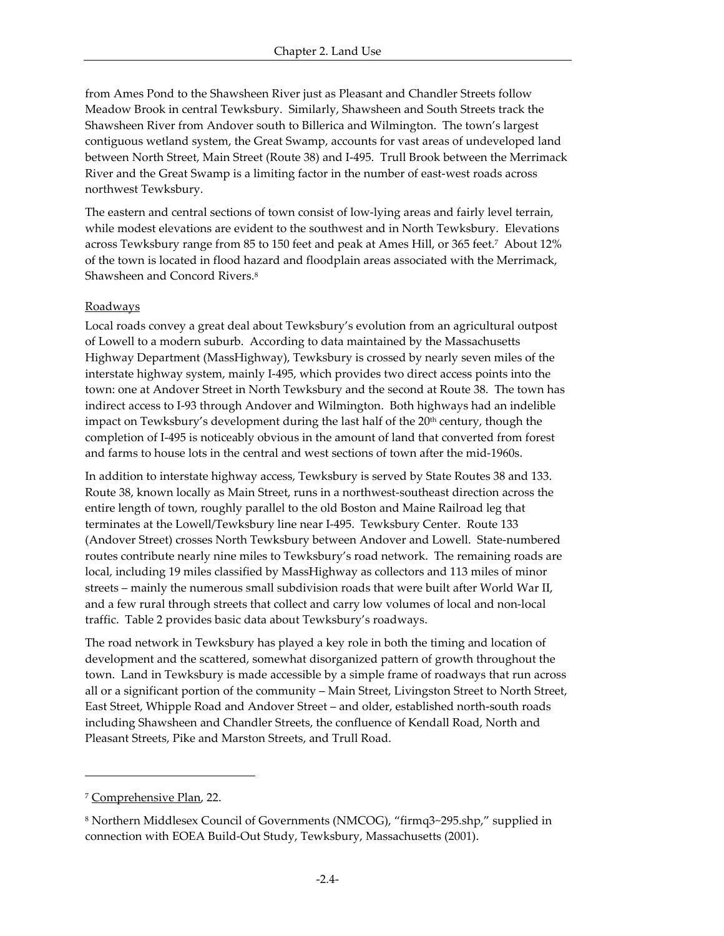from Ames Pond to the Shawsheen River just as Pleasant and Chandler Streets follow Meadow Brook in central Tewksbury. Similarly, Shawsheen and South Streets track the Shawsheen River from Andover south to Billerica and Wilmington. The town's largest contiguous wetland system, the Great Swamp, accounts for vast areas of undeveloped land between North Street, Main Street (Route 38) and I-495. Trull Brook between the Merrimack River and the Great Swamp is a limiting factor in the number of east-west roads across northwest Tewksbury.

The eastern and central sections of town consist of low-lying areas and fairly level terrain, while modest elevations are evident to the southwest and in North Tewksbury. Elevations across Tewksbury range from 85 to 150 feet and peak at Ames Hill, or 365 feet.<sup>7</sup> About 12% of the town is located in flood hazard and floodplain areas associated with the Merrimack, Shawsheen and Concord Rivers.<sup>8</sup>

### Roadways

Local roads convey a great deal about Tewksbury's evolution from an agricultural outpost of Lowell to a modern suburb. According to data maintained by the Massachusetts Highway Department (MassHighway), Tewksbury is crossed by nearly seven miles of the interstate highway system, mainly I-495, which provides two direct access points into the town: one at Andover Street in North Tewksbury and the second at Route 38. The town has indirect access to I-93 through Andover and Wilmington. Both highways had an indelible impact on Tewksbury's development during the last half of the 20<sup>th</sup> century, though the completion of I-495 is noticeably obvious in the amount of land that converted from forest and farms to house lots in the central and west sections of town after the mid-1960s.

In addition to interstate highway access, Tewksbury is served by State Routes 38 and 133. Route 38, known locally as Main Street, runs in a northwest-southeast direction across the entire length of town, roughly parallel to the old Boston and Maine Railroad leg that terminates at the Lowell/Tewksbury line near I-495. Tewksbury Center. Route 133 (Andover Street) crosses North Tewksbury between Andover and Lowell. State-numbered routes contribute nearly nine miles to Tewksbury's road network. The remaining roads are local, including 19 miles classified by MassHighway as collectors and 113 miles of minor streets – mainly the numerous small subdivision roads that were built after World War II, and a few rural through streets that collect and carry low volumes of local and non-local traffic. Table 2 provides basic data about Tewksbury's roadways.

The road network in Tewksbury has played a key role in both the timing and location of development and the scattered, somewhat disorganized pattern of growth throughout the town. Land in Tewksbury is made accessible by a simple frame of roadways that run across all or a significant portion of the community – Main Street, Livingston Street to North Street, East Street, Whipple Road and Andover Street – and older, established north-south roads including Shawsheen and Chandler Streets, the confluence of Kendall Road, North and Pleasant Streets, Pike and Marston Streets, and Trull Road.

<sup>7</sup> Comprehensive Plan, 22.

<sup>8</sup> Northern Middlesex Council of Governments (NMCOG), "firmq3~295.shp," supplied in connection with EOEA Build-Out Study, Tewksbury, Massachusetts (2001).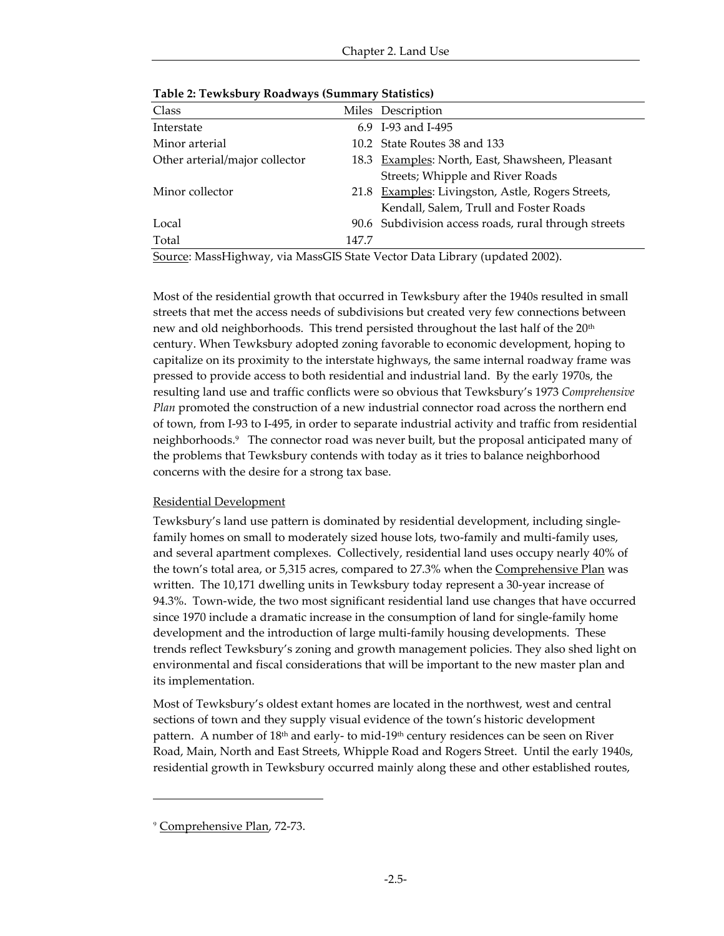| Table 2. Tewnsbury Roadways (Summary Statistics) |       |                                                      |  |  |
|--------------------------------------------------|-------|------------------------------------------------------|--|--|
| Class                                            |       | Miles Description                                    |  |  |
| Interstate                                       |       | 6.9 I-93 and I-495                                   |  |  |
| Minor arterial                                   |       | 10.2 State Routes 38 and 133                         |  |  |
| Other arterial/major collector                   |       | 18.3 Examples: North, East, Shawsheen, Pleasant      |  |  |
|                                                  |       | Streets; Whipple and River Roads                     |  |  |
| Minor collector                                  |       | 21.8 Examples: Livingston, Astle, Rogers Streets,    |  |  |
|                                                  |       | Kendall, Salem, Trull and Foster Roads               |  |  |
| Local                                            |       | 90.6 Subdivision access roads, rural through streets |  |  |
| Total                                            | 147.7 |                                                      |  |  |

**Table 2: Tewksbury Roadways (Summary Statistics)**

Source: MassHighway, via MassGIS State Vector Data Library (updated 2002).

Most of the residential growth that occurred in Tewksbury after the 1940s resulted in small streets that met the access needs of subdivisions but created very few connections between new and old neighborhoods. This trend persisted throughout the last half of the 20th century. When Tewksbury adopted zoning favorable to economic development, hoping to capitalize on its proximity to the interstate highways, the same internal roadway frame was pressed to provide access to both residential and industrial land. By the early 1970s, the resulting land use and traffic conflicts were so obvious that Tewksbury's 1973 *Comprehensive Plan* promoted the construction of a new industrial connector road across the northern end of town, from I-93 to I-495, in order to separate industrial activity and traffic from residential neighborhoods.<sup>9</sup> The connector road was never built, but the proposal anticipated many of the problems that Tewksbury contends with today as it tries to balance neighborhood concerns with the desire for a strong tax base.

### Residential Development

Tewksbury's land use pattern is dominated by residential development, including singlefamily homes on small to moderately sized house lots, two-family and multi-family uses, and several apartment complexes. Collectively, residential land uses occupy nearly 40% of the town's total area, or 5,315 acres, compared to 27.3% when the **Comprehensive Plan** was written. The 10,171 dwelling units in Tewksbury today represent a 30-year increase of 94.3%. Town-wide, the two most significant residential land use changes that have occurred since 1970 include a dramatic increase in the consumption of land for single-family home development and the introduction of large multi-family housing developments. These trends reflect Tewksbury's zoning and growth management policies. They also shed light on environmental and fiscal considerations that will be important to the new master plan and its implementation.

Most of Tewksbury's oldest extant homes are located in the northwest, west and central sections of town and they supply visual evidence of the town's historic development pattern. A number of 18th and early- to mid-19th century residences can be seen on River Road, Main, North and East Streets, Whipple Road and Rogers Street. Until the early 1940s, residential growth in Tewksbury occurred mainly along these and other established routes,

<sup>9</sup> Comprehensive Plan, 72-73.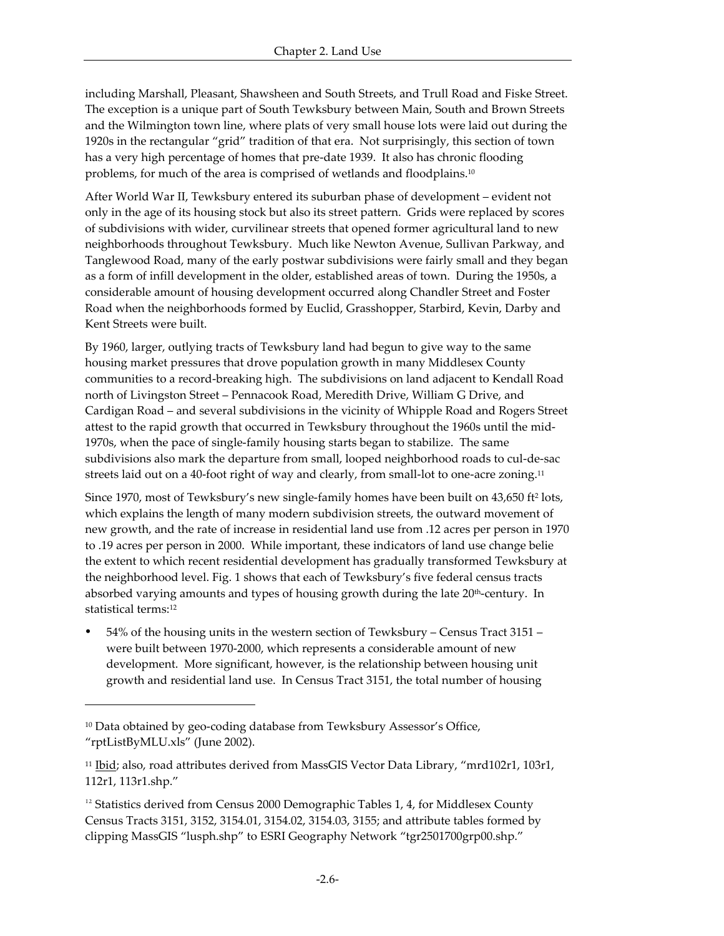including Marshall, Pleasant, Shawsheen and South Streets, and Trull Road and Fiske Street. The exception is a unique part of South Tewksbury between Main, South and Brown Streets and the Wilmington town line, where plats of very small house lots were laid out during the 1920s in the rectangular "grid" tradition of that era. Not surprisingly, this section of town has a very high percentage of homes that pre-date 1939. It also has chronic flooding problems, for much of the area is comprised of wetlands and floodplains.<sup>10</sup>

After World War II, Tewksbury entered its suburban phase of development – evident not only in the age of its housing stock but also its street pattern. Grids were replaced by scores of subdivisions with wider, curvilinear streets that opened former agricultural land to new neighborhoods throughout Tewksbury. Much like Newton Avenue, Sullivan Parkway, and Tanglewood Road, many of the early postwar subdivisions were fairly small and they began as a form of infill development in the older, established areas of town. During the 1950s, a considerable amount of housing development occurred along Chandler Street and Foster Road when the neighborhoods formed by Euclid, Grasshopper, Starbird, Kevin, Darby and Kent Streets were built.

By 1960, larger, outlying tracts of Tewksbury land had begun to give way to the same housing market pressures that drove population growth in many Middlesex County communities to a record-breaking high. The subdivisions on land adjacent to Kendall Road north of Livingston Street – Pennacook Road, Meredith Drive, William G Drive, and Cardigan Road – and several subdivisions in the vicinity of Whipple Road and Rogers Street attest to the rapid growth that occurred in Tewksbury throughout the 1960s until the mid-1970s, when the pace of single-family housing starts began to stabilize. The same subdivisions also mark the departure from small, looped neighborhood roads to cul-de-sac streets laid out on a 40-foot right of way and clearly, from small-lot to one-acre zoning.<sup>11</sup>

Since 1970, most of Tewksbury's new single-family homes have been built on 43,650 ft<sup>2</sup> lots, which explains the length of many modern subdivision streets, the outward movement of new growth, and the rate of increase in residential land use from .12 acres per person in 1970 to .19 acres per person in 2000. While important, these indicators of land use change belie the extent to which recent residential development has gradually transformed Tewksbury at the neighborhood level. Fig. 1 shows that each of Tewksbury's five federal census tracts absorbed varying amounts and types of housing growth during the late 20<sup>th</sup>-century. In statistical terms:<sup>12</sup>

ü 54% of the housing units in the western section of Tewksbury – Census Tract 3151 – were built between 1970-2000, which represents a considerable amount of new development. More significant, however, is the relationship between housing unit growth and residential land use. In Census Tract 3151, the total number of housing

<sup>&</sup>lt;sup>10</sup> Data obtained by geo-coding database from Tewksbury Assessor's Office, "rptListByMLU.xls" (June 2002).

 $11$  Ibid; also, road attributes derived from MassGIS Vector Data Library, "mrd102r1, 103r1, 112r1, 113r1.shp."

 $12$  Statistics derived from Census 2000 Demographic Tables 1, 4, for Middlesex County Census Tracts 3151, 3152, 3154.01, 3154.02, 3154.03, 3155; and attribute tables formed by clipping MassGIS "lusph.shp" to ESRI Geography Network "tgr2501700grp00.shp."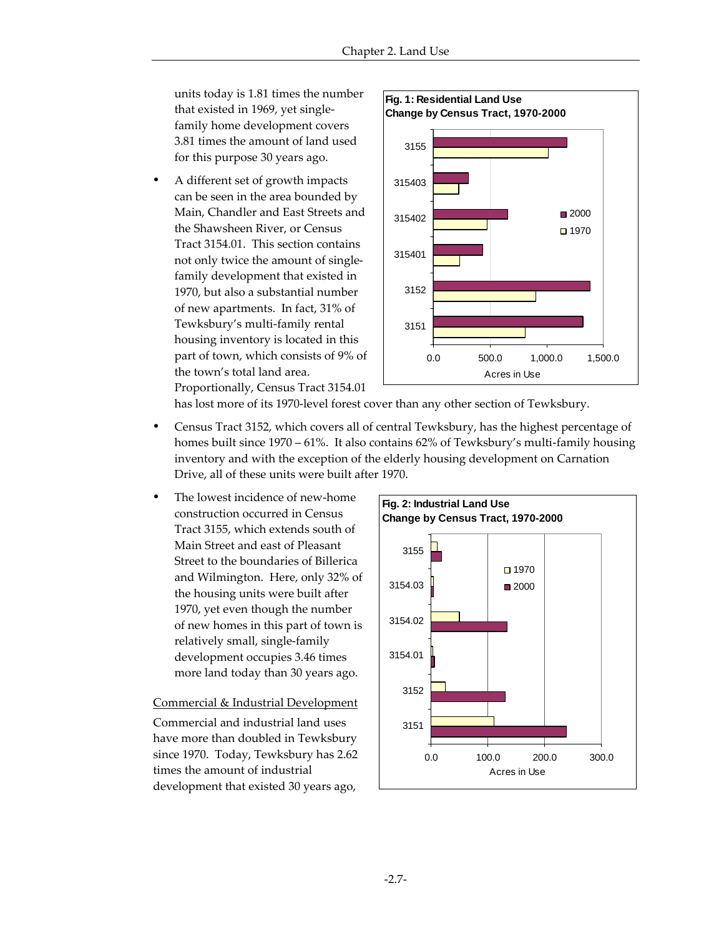units today is 1.81 times the number that existed in 1969, yet singlefamily home development covers 3.81 times the amount of land used for this purpose 30 years ago.

ü A different set of growth impacts can be seen in the area bounded by Main, Chandler and East Streets and the Shawsheen River, or Census Tract 3154.01. This section contains not only twice the amount of singlefamily development that existed in 1970, but also a substantial number of new apartments. In fact, 31% of Tewksbury's multi-family rental housing inventory is located in this part of town, which consists of 9% of the town's total land area. Proportionally, Census Tract 3154.01



has lost more of its 1970-level forest cover than any other section of Tewksbury.

- ü Census Tract 3152, which covers all of central Tewksbury, has the highest percentage of homes built since 1970 – 61%. It also contains 62% of Tewksbury's multi-family housing inventory and with the exception of the elderly housing development on Carnation Drive, all of these units were built after 1970.
- The lowest incidence of new-home construction occurred in Census Tract 3155, which extends south of Main Street and east of Pleasant Street to the boundaries of Billerica and Wilmington. Here, only 32% of the housing units were built after 1970, yet even though the number of new homes in this part of town is relatively small, single-family development occupies 3.46 times more land today than 30 years ago.

#### Commercial & Industrial Development

Commercial and industrial land uses have more than doubled in Tewksbury since 1970. Today, Tewksbury has 2.62 times the amount of industrial development that existed 30 years ago,

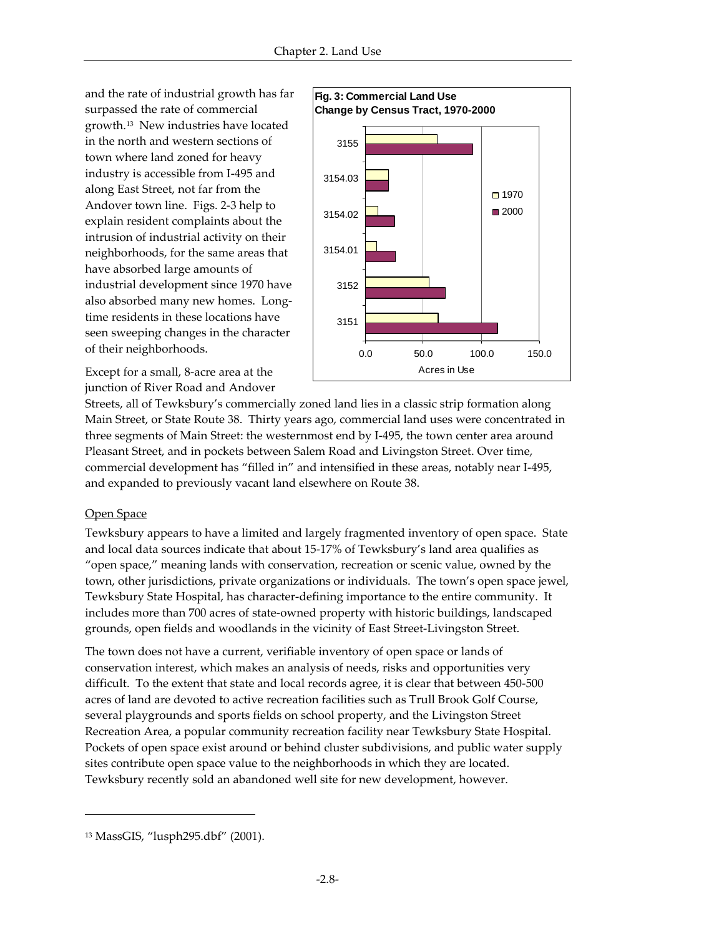and the rate of industrial growth has far surpassed the rate of commercial growth.13 New industries have located in the north and western sections of town where land zoned for heavy industry is accessible from I-495 and along East Street, not far from the Andover town line. Figs. 2-3 help to explain resident complaints about the intrusion of industrial activity on their neighborhoods, for the same areas that have absorbed large amounts of industrial development since 1970 have also absorbed many new homes. Longtime residents in these locations have seen sweeping changes in the character of their neighborhoods.



Except for a small, 8-acre area at the junction of River Road and Andover

Streets, all of Tewksbury's commercially zoned land lies in a classic strip formation along Main Street, or State Route 38. Thirty years ago, commercial land uses were concentrated in three segments of Main Street: the westernmost end by I-495, the town center area around Pleasant Street, and in pockets between Salem Road and Livingston Street. Over time, commercial development has "filled in" and intensified in these areas, notably near I-495, and expanded to previously vacant land elsewhere on Route 38.

# Open Space

-

Tewksbury appears to have a limited and largely fragmented inventory of open space. State and local data sources indicate that about 15-17% of Tewksbury's land area qualifies as "open space," meaning lands with conservation, recreation or scenic value, owned by the town, other jurisdictions, private organizations or individuals. The town's open space jewel, Tewksbury State Hospital, has character-defining importance to the entire community. It includes more than 700 acres of state-owned property with historic buildings, landscaped grounds, open fields and woodlands in the vicinity of East Street-Livingston Street.

The town does not have a current, verifiable inventory of open space or lands of conservation interest, which makes an analysis of needs, risks and opportunities very difficult. To the extent that state and local records agree, it is clear that between 450-500 acres of land are devoted to active recreation facilities such as Trull Brook Golf Course, several playgrounds and sports fields on school property, and the Livingston Street Recreation Area, a popular community recreation facility near Tewksbury State Hospital. Pockets of open space exist around or behind cluster subdivisions, and public water supply sites contribute open space value to the neighborhoods in which they are located. Tewksbury recently sold an abandoned well site for new development, however.

<sup>13</sup> MassGIS, "lusph295.dbf" (2001).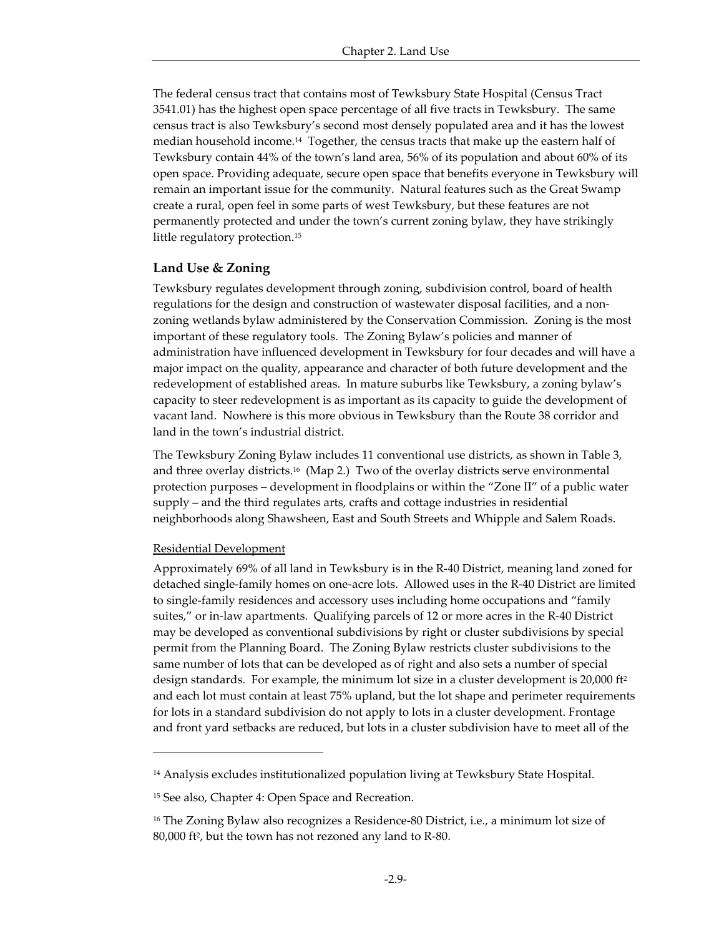The federal census tract that contains most of Tewksbury State Hospital (Census Tract 3541.01) has the highest open space percentage of all five tracts in Tewksbury. The same census tract is also Tewksbury's second most densely populated area and it has the lowest median household income.14 Together, the census tracts that make up the eastern half of Tewksbury contain 44% of the town's land area, 56% of its population and about 60% of its open space. Providing adequate, secure open space that benefits everyone in Tewksbury will remain an important issue for the community. Natural features such as the Great Swamp create a rural, open feel in some parts of west Tewksbury, but these features are not permanently protected and under the town's current zoning bylaw, they have strikingly little regulatory protection.<sup>15</sup>

#### **Land Use & Zoning**

Tewksbury regulates development through zoning, subdivision control, board of health regulations for the design and construction of wastewater disposal facilities, and a nonzoning wetlands bylaw administered by the Conservation Commission. Zoning is the most important of these regulatory tools. The Zoning Bylaw's policies and manner of administration have influenced development in Tewksbury for four decades and will have a major impact on the quality, appearance and character of both future development and the redevelopment of established areas. In mature suburbs like Tewksbury, a zoning bylaw's capacity to steer redevelopment is as important as its capacity to guide the development of vacant land. Nowhere is this more obvious in Tewksbury than the Route 38 corridor and land in the town's industrial district.

The Tewksbury Zoning Bylaw includes 11 conventional use districts, as shown in Table 3, and three overlay districts.16 (Map 2.) Two of the overlay districts serve environmental protection purposes – development in floodplains or within the "Zone II" of a public water supply – and the third regulates arts, crafts and cottage industries in residential neighborhoods along Shawsheen, East and South Streets and Whipple and Salem Roads.

#### Residential Development

-

Approximately 69% of all land in Tewksbury is in the R-40 District, meaning land zoned for detached single-family homes on one-acre lots. Allowed uses in the R-40 District are limited to single-family residences and accessory uses including home occupations and "family suites," or in-law apartments. Qualifying parcels of 12 or more acres in the R-40 District may be developed as conventional subdivisions by right or cluster subdivisions by special permit from the Planning Board. The Zoning Bylaw restricts cluster subdivisions to the same number of lots that can be developed as of right and also sets a number of special design standards. For example, the minimum lot size in a cluster development is 20,000 ft<sup>2</sup> and each lot must contain at least 75% upland, but the lot shape and perimeter requirements for lots in a standard subdivision do not apply to lots in a cluster development. Frontage and front yard setbacks are reduced, but lots in a cluster subdivision have to meet all of the

<sup>14</sup> Analysis excludes institutionalized population living at Tewksbury State Hospital.

<sup>15</sup> See also, Chapter 4: Open Space and Recreation.

<sup>&</sup>lt;sup>16</sup> The Zoning Bylaw also recognizes a Residence-80 District, i.e., a minimum lot size of 80,000 ft<sup>2</sup> , but the town has not rezoned any land to R-80.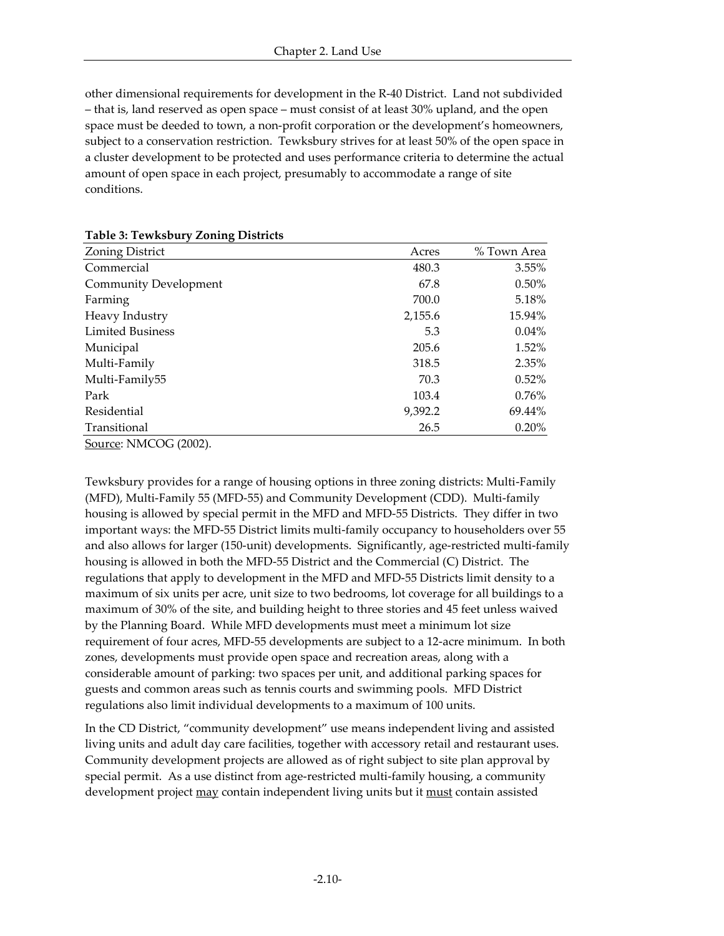other dimensional requirements for development in the R-40 District. Land not subdivided – that is, land reserved as open space – must consist of at least 30% upland, and the open space must be deeded to town, a non-profit corporation or the development's homeowners, subject to a conservation restriction. Tewksbury strives for at least 50% of the open space in a cluster development to be protected and uses performance criteria to determine the actual amount of open space in each project, presumably to accommodate a range of site conditions.

| <b>Zoning District</b>  | Acres   | % Town Area |
|-------------------------|---------|-------------|
| Commercial              | 480.3   | 3.55%       |
| Community Development   | 67.8    | $0.50\%$    |
| Farming                 | 700.0   | 5.18%       |
| Heavy Industry          | 2,155.6 | 15.94%      |
| <b>Limited Business</b> | 5.3     | $0.04\%$    |
| Municipal               | 205.6   | $1.52\%$    |
| Multi-Family            | 318.5   | 2.35%       |
| Multi-Family55          | 70.3    | $0.52\%$    |
| Park                    | 103.4   | $0.76\%$    |
| Residential             | 9,392.2 | 69.44%      |
| Transitional            | 26.5    | 0.20%       |
| Source: NMCOG (2002).   |         |             |

Tewksbury provides for a range of housing options in three zoning districts: Multi-Family (MFD), Multi-Family 55 (MFD-55) and Community Development (CDD). Multi-family housing is allowed by special permit in the MFD and MFD-55 Districts. They differ in two important ways: the MFD-55 District limits multi-family occupancy to householders over 55 and also allows for larger (150-unit) developments. Significantly, age-restricted multi-family housing is allowed in both the MFD-55 District and the Commercial (C) District. The regulations that apply to development in the MFD and MFD-55 Districts limit density to a maximum of six units per acre, unit size to two bedrooms, lot coverage for all buildings to a maximum of 30% of the site, and building height to three stories and 45 feet unless waived by the Planning Board. While MFD developments must meet a minimum lot size requirement of four acres, MFD-55 developments are subject to a 12-acre minimum. In both zones, developments must provide open space and recreation areas, along with a considerable amount of parking: two spaces per unit, and additional parking spaces for guests and common areas such as tennis courts and swimming pools. MFD District regulations also limit individual developments to a maximum of 100 units.

In the CD District, "community development" use means independent living and assisted living units and adult day care facilities, together with accessory retail and restaurant uses. Community development projects are allowed as of right subject to site plan approval by special permit. As a use distinct from age-restricted multi-family housing, a community development project may contain independent living units but it must contain assisted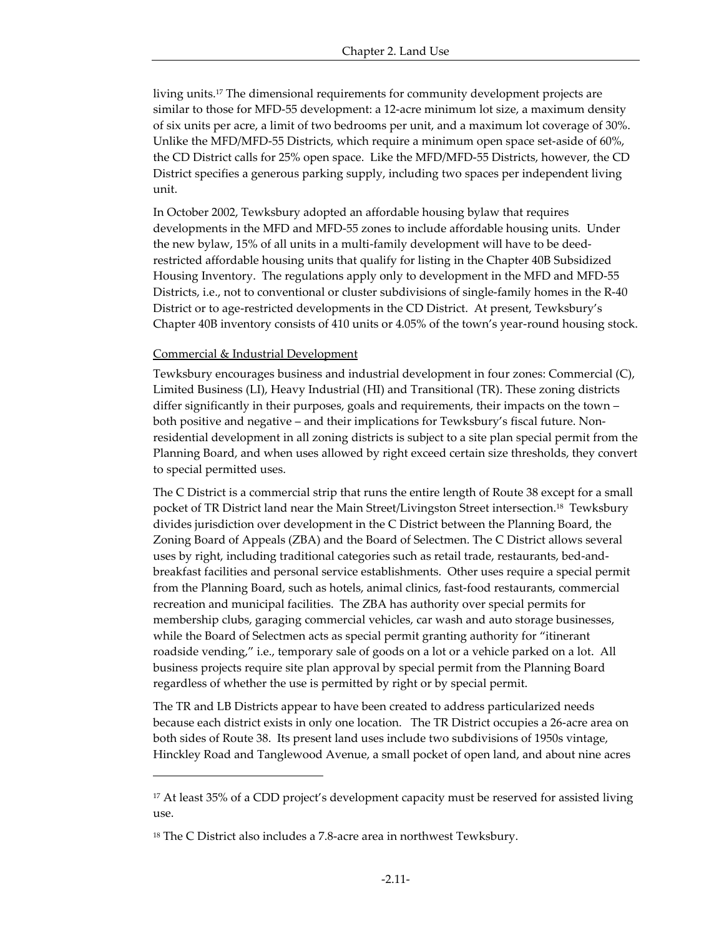living units.<sup>17</sup> The dimensional requirements for community development projects are similar to those for MFD-55 development: a 12-acre minimum lot size, a maximum density of six units per acre, a limit of two bedrooms per unit, and a maximum lot coverage of 30%. Unlike the MFD/MFD-55 Districts, which require a minimum open space set-aside of 60%, the CD District calls for 25% open space. Like the MFD/MFD-55 Districts, however, the CD District specifies a generous parking supply, including two spaces per independent living unit.

In October 2002, Tewksbury adopted an affordable housing bylaw that requires developments in the MFD and MFD-55 zones to include affordable housing units. Under the new bylaw, 15% of all units in a multi-family development will have to be deedrestricted affordable housing units that qualify for listing in the Chapter 40B Subsidized Housing Inventory. The regulations apply only to development in the MFD and MFD-55 Districts, i.e., not to conventional or cluster subdivisions of single-family homes in the R-40 District or to age-restricted developments in the CD District. At present, Tewksbury's Chapter 40B inventory consists of 410 units or 4.05% of the town's year-round housing stock.

#### Commercial & Industrial Development

-

Tewksbury encourages business and industrial development in four zones: Commercial (C), Limited Business (LI), Heavy Industrial (HI) and Transitional (TR). These zoning districts differ significantly in their purposes, goals and requirements, their impacts on the town – both positive and negative – and their implications for Tewksbury's fiscal future. Nonresidential development in all zoning districts is subject to a site plan special permit from the Planning Board, and when uses allowed by right exceed certain size thresholds, they convert to special permitted uses.

The C District is a commercial strip that runs the entire length of Route 38 except for a small pocket of TR District land near the Main Street/Livingston Street intersection.18 Tewksbury divides jurisdiction over development in the C District between the Planning Board, the Zoning Board of Appeals (ZBA) and the Board of Selectmen. The C District allows several uses by right, including traditional categories such as retail trade, restaurants, bed-andbreakfast facilities and personal service establishments. Other uses require a special permit from the Planning Board, such as hotels, animal clinics, fast-food restaurants, commercial recreation and municipal facilities. The ZBA has authority over special permits for membership clubs, garaging commercial vehicles, car wash and auto storage businesses, while the Board of Selectmen acts as special permit granting authority for "itinerant roadside vending," i.e., temporary sale of goods on a lot or a vehicle parked on a lot. All business projects require site plan approval by special permit from the Planning Board regardless of whether the use is permitted by right or by special permit.

The TR and LB Districts appear to have been created to address particularized needs because each district exists in only one location. The TR District occupies a 26-acre area on both sides of Route 38. Its present land uses include two subdivisions of 1950s vintage, Hinckley Road and Tanglewood Avenue, a small pocket of open land, and about nine acres

<sup>&</sup>lt;sup>17</sup> At least 35% of a CDD project's development capacity must be reserved for assisted living use.

<sup>18</sup> The C District also includes a 7.8-acre area in northwest Tewksbury.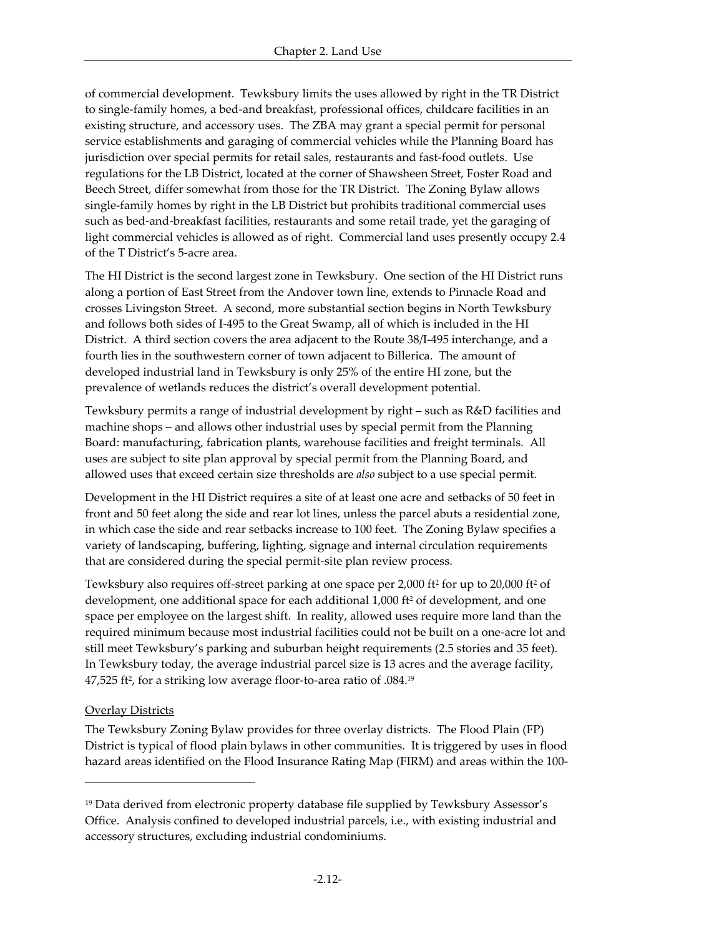of commercial development. Tewksbury limits the uses allowed by right in the TR District to single-family homes, a bed-and breakfast, professional offices, childcare facilities in an existing structure, and accessory uses. The ZBA may grant a special permit for personal service establishments and garaging of commercial vehicles while the Planning Board has jurisdiction over special permits for retail sales, restaurants and fast-food outlets. Use regulations for the LB District, located at the corner of Shawsheen Street, Foster Road and Beech Street, differ somewhat from those for the TR District. The Zoning Bylaw allows single-family homes by right in the LB District but prohibits traditional commercial uses such as bed-and-breakfast facilities, restaurants and some retail trade, yet the garaging of light commercial vehicles is allowed as of right. Commercial land uses presently occupy 2.4 of the T District's 5-acre area.

The HI District is the second largest zone in Tewksbury. One section of the HI District runs along a portion of East Street from the Andover town line, extends to Pinnacle Road and crosses Livingston Street. A second, more substantial section begins in North Tewksbury and follows both sides of I-495 to the Great Swamp, all of which is included in the HI District. A third section covers the area adjacent to the Route 38/I-495 interchange, and a fourth lies in the southwestern corner of town adjacent to Billerica. The amount of developed industrial land in Tewksbury is only 25% of the entire HI zone, but the prevalence of wetlands reduces the district's overall development potential.

Tewksbury permits a range of industrial development by right – such as R&D facilities and machine shops – and allows other industrial uses by special permit from the Planning Board: manufacturing, fabrication plants, warehouse facilities and freight terminals. All uses are subject to site plan approval by special permit from the Planning Board, and allowed uses that exceed certain size thresholds are *also* subject to a use special permit.

Development in the HI District requires a site of at least one acre and setbacks of 50 feet in front and 50 feet along the side and rear lot lines, unless the parcel abuts a residential zone, in which case the side and rear setbacks increase to 100 feet. The Zoning Bylaw specifies a variety of landscaping, buffering, lighting, signage and internal circulation requirements that are considered during the special permit-site plan review process.

Tewksbury also requires off-street parking at one space per 2,000 ft<sup>2</sup> for up to 20,000 ft<sup>2</sup> of development, one additional space for each additional 1,000 ft<sup>2</sup> of development, and one space per employee on the largest shift. In reality, allowed uses require more land than the required minimum because most industrial facilities could not be built on a one-acre lot and still meet Tewksbury's parking and suburban height requirements (2.5 stories and 35 feet). In Tewksbury today, the average industrial parcel size is 13 acres and the average facility, 47,525 ft<sup>2</sup>, for a striking low average floor-to-area ratio of .084.<sup>19</sup>

# **Overlay Districts**

 $\overline{a}$ 

The Tewksbury Zoning Bylaw provides for three overlay districts. The Flood Plain (FP) District is typical of flood plain bylaws in other communities. It is triggered by uses in flood hazard areas identified on the Flood Insurance Rating Map (FIRM) and areas within the 100-

<sup>&</sup>lt;sup>19</sup> Data derived from electronic property database file supplied by Tewksbury Assessor's Office. Analysis confined to developed industrial parcels, i.e., with existing industrial and accessory structures, excluding industrial condominiums.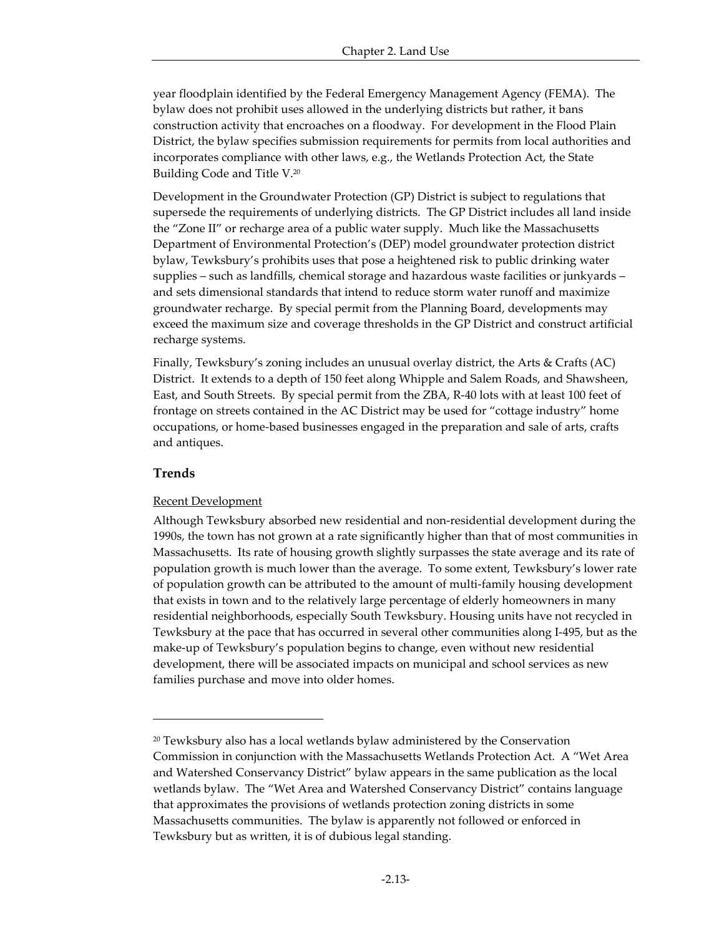year floodplain identified by the Federal Emergency Management Agency (FEMA). The bylaw does not prohibit uses allowed in the underlying districts but rather, it bans construction activity that encroaches on a floodway. For development in the Flood Plain District, the bylaw specifies submission requirements for permits from local authorities and incorporates compliance with other laws, e.g., the Wetlands Protection Act, the State Building Code and Title V.<sup>20</sup>

Development in the Groundwater Protection (GP) District is subject to regulations that supersede the requirements of underlying districts. The GP District includes all land inside the "Zone II" or recharge area of a public water supply. Much like the Massachusetts Department of Environmental Protection's (DEP) model groundwater protection district bylaw, Tewksbury's prohibits uses that pose a heightened risk to public drinking water supplies – such as landfills, chemical storage and hazardous waste facilities or junkyards – and sets dimensional standards that intend to reduce storm water runoff and maximize groundwater recharge. By special permit from the Planning Board, developments may exceed the maximum size and coverage thresholds in the GP District and construct artificial recharge systems.

Finally, Tewksbury's zoning includes an unusual overlay district, the Arts & Crafts (AC) District. It extends to a depth of 150 feet along Whipple and Salem Roads, and Shawsheen, East, and South Streets. By special permit from the ZBA, R-40 lots with at least 100 feet of frontage on streets contained in the AC District may be used for "cottage industry" home occupations, or home-based businesses engaged in the preparation and sale of arts, crafts and antiques.

#### **Trends**

-

#### Recent Development

Although Tewksbury absorbed new residential and non-residential development during the 1990s, the town has not grown at a rate significantly higher than that of most communities in Massachusetts. Its rate of housing growth slightly surpasses the state average and its rate of population growth is much lower than the average. To some extent, Tewksbury's lower rate of population growth can be attributed to the amount of multi-family housing development that exists in town and to the relatively large percentage of elderly homeowners in many residential neighborhoods, especially South Tewksbury. Housing units have not recycled in Tewksbury at the pace that has occurred in several other communities along I-495, but as the make-up of Tewksbury's population begins to change, even without new residential development, there will be associated impacts on municipal and school services as new families purchase and move into older homes.

<sup>20</sup> Tewksbury also has a local wetlands bylaw administered by the Conservation Commission in conjunction with the Massachusetts Wetlands Protection Act. A "Wet Area and Watershed Conservancy District" bylaw appears in the same publication as the local wetlands bylaw. The "Wet Area and Watershed Conservancy District" contains language that approximates the provisions of wetlands protection zoning districts in some Massachusetts communities. The bylaw is apparently not followed or enforced in Tewksbury but as written, it is of dubious legal standing.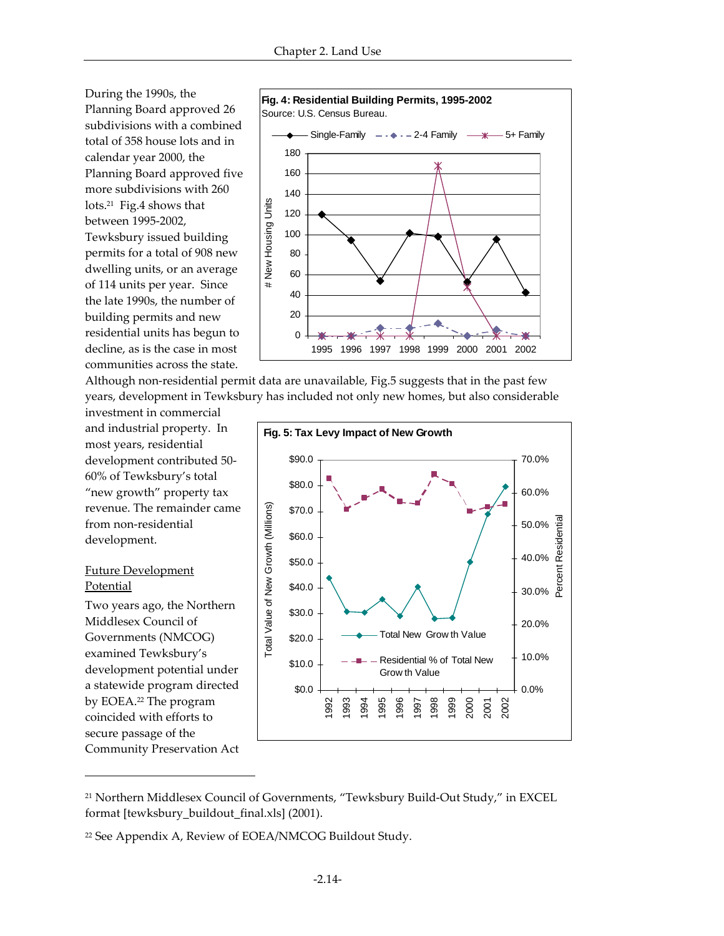During the 1990s, the Planning Board approved 26 subdivisions with a combined total of 358 house lots and in calendar year 2000, the Planning Board approved five more subdivisions with 260 lots.21 Fig.4 shows that between 1995-2002, Tewksbury issued building permits for a total of 908 new dwelling units, or an average of 114 units per year. Since the late 1990s, the number of building permits and new residential units has begun to decline, as is the case in most communities across the state.



Although non-residential permit data are unavailable, Fig.5 suggests that in the past few years, development in Tewksbury has included not only new homes, but also considerable

investment in commercial and industrial property. In most years, residential development contributed 50- 60% of Tewksbury's total "new growth" property tax revenue. The remainder came from non-residential development.

## Future Development Potential

 $\overline{a}$ 

Two years ago, the Northern Middlesex Council of Governments (NMCOG) examined Tewksbury's development potential under a statewide program directed by EOEA.22 The program coincided with efforts to secure passage of the Community Preservation Act



<sup>21</sup> Northern Middlesex Council of Governments, "Tewksbury Build-Out Study," in EXCEL format [tewksbury\_buildout\_final.xls] (2001).

<sup>22</sup> See Appendix A, Review of EOEA/NMCOG Buildout Study.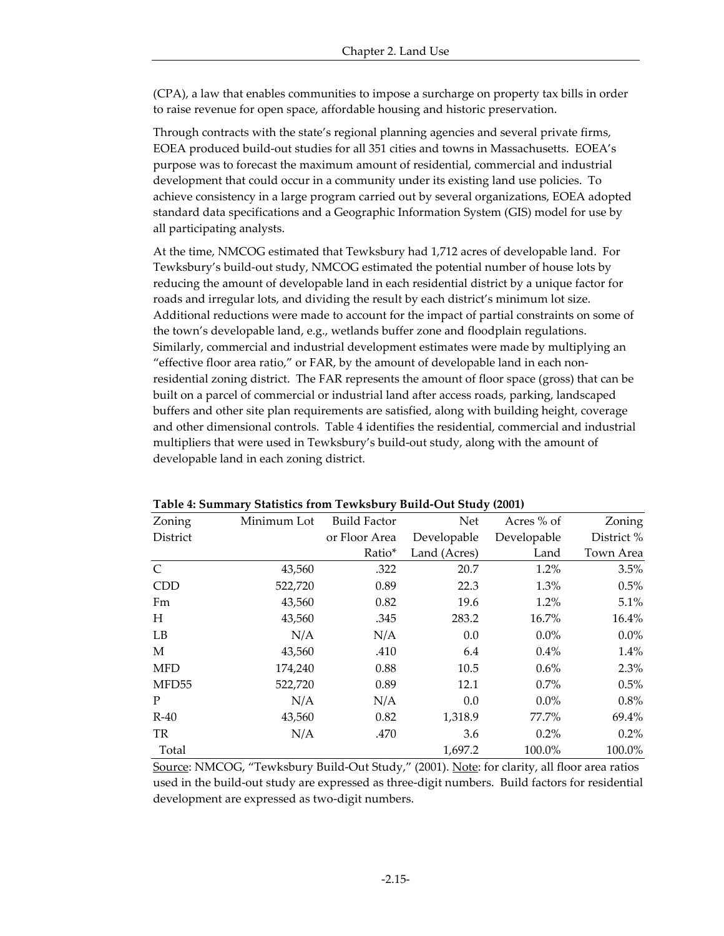(CPA), a law that enables communities to impose a surcharge on property tax bills in order to raise revenue for open space, affordable housing and historic preservation.

Through contracts with the state's regional planning agencies and several private firms, EOEA produced build-out studies for all 351 cities and towns in Massachusetts. EOEA's purpose was to forecast the maximum amount of residential, commercial and industrial development that could occur in a community under its existing land use policies. To achieve consistency in a large program carried out by several organizations, EOEA adopted standard data specifications and a Geographic Information System (GIS) model for use by all participating analysts.

At the time, NMCOG estimated that Tewksbury had 1,712 acres of developable land. For Tewksbury's build-out study, NMCOG estimated the potential number of house lots by reducing the amount of developable land in each residential district by a unique factor for roads and irregular lots, and dividing the result by each district's minimum lot size. Additional reductions were made to account for the impact of partial constraints on some of the town's developable land, e.g., wetlands buffer zone and floodplain regulations. Similarly, commercial and industrial development estimates were made by multiplying an "effective floor area ratio," or FAR, by the amount of developable land in each nonresidential zoning district. The FAR represents the amount of floor space (gross) that can be built on a parcel of commercial or industrial land after access roads, parking, landscaped buffers and other site plan requirements are satisfied, along with building height, coverage and other dimensional controls. Table 4 identifies the residential, commercial and industrial multipliers that were used in Tewksbury's build-out study, along with the amount of developable land in each zoning district.

| Zoning     | Minimum Lot | <b>Build Factor</b> | Net          | Acres % of  | Zoning     |
|------------|-------------|---------------------|--------------|-------------|------------|
| District   |             | or Floor Area       | Developable  | Developable | District % |
|            |             | Ratio*              | Land (Acres) | Land        | Town Area  |
| C          | 43,560      | .322                | 20.7         | 1.2%        | 3.5%       |
| <b>CDD</b> | 522,720     | 0.89                | 22.3         | 1.3%        | 0.5%       |
| Fm         | 43,560      | 0.82                | 19.6         | 1.2%        | $5.1\%$    |
| H          | 43,560      | .345                | 283.2        | 16.7%       | 16.4%      |
| LB         | N/A         | N/A                 | 0.0          | $0.0\%$     | $0.0\%$    |
| M          | 43,560      | .410                | 6.4          | 0.4%        | $1.4\%$    |
| <b>MFD</b> | 174,240     | 0.88                | 10.5         | $0.6\%$     | 2.3%       |
| MFD55      | 522,720     | 0.89                | 12.1         | $0.7\%$     | 0.5%       |
| P          | N/A         | N/A                 | 0.0          | $0.0\%$     | 0.8%       |
| $R-40$     | 43,560      | 0.82                | 1,318.9      | 77.7%       | 69.4%      |
| TR         | N/A         | .470                | 3.6          | 0.2%        | $0.2\%$    |
| Total      |             |                     | 1,697.2      | 100.0%      | 100.0%     |

**Table 4: Summary Statistics from Tewksbury Build-Out Study (2001)**

Source: NMCOG, "Tewksbury Build-Out Study," (2001). Note: for clarity, all floor area ratios used in the build-out study are expressed as three-digit numbers. Build factors for residential development are expressed as two-digit numbers.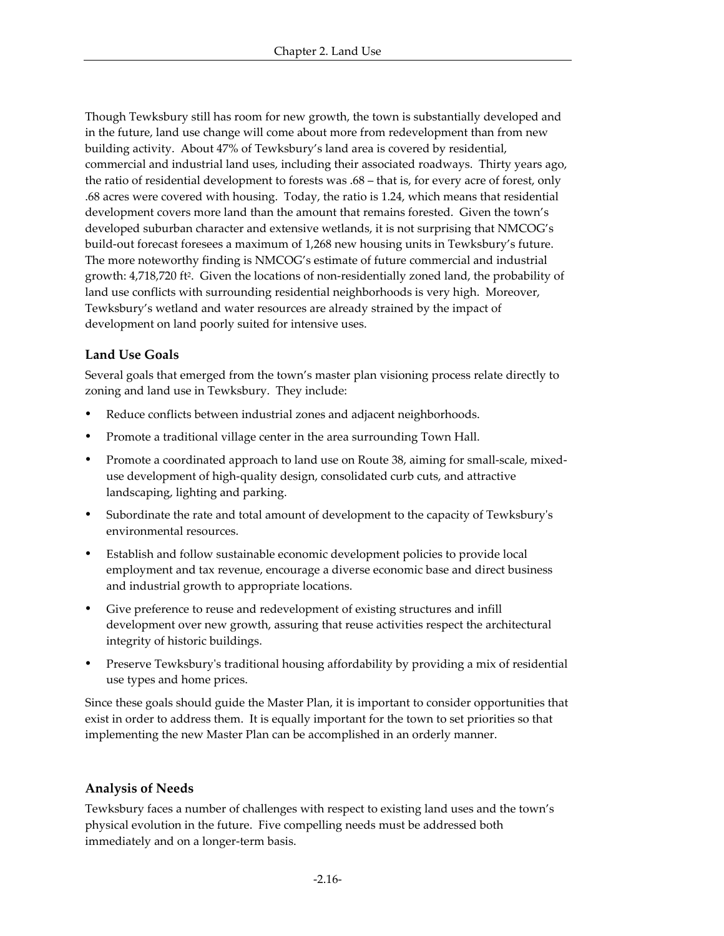Though Tewksbury still has room for new growth, the town is substantially developed and in the future, land use change will come about more from redevelopment than from new building activity. About 47% of Tewksbury's land area is covered by residential, commercial and industrial land uses, including their associated roadways. Thirty years ago, the ratio of residential development to forests was .68 – that is, for every acre of forest, only .68 acres were covered with housing. Today, the ratio is 1.24, which means that residential development covers more land than the amount that remains forested. Given the town's developed suburban character and extensive wetlands, it is not surprising that NMCOG's build-out forecast foresees a maximum of 1,268 new housing units in Tewksbury's future. The more noteworthy finding is NMCOG's estimate of future commercial and industrial growth: 4,718,720 ft<sup>2</sup> . Given the locations of non-residentially zoned land, the probability of land use conflicts with surrounding residential neighborhoods is very high. Moreover, Tewksbury's wetland and water resources are already strained by the impact of development on land poorly suited for intensive uses.

# **Land Use Goals**

Several goals that emerged from the town's master plan visioning process relate directly to zoning and land use in Tewksbury. They include:

- Reduce conflicts between industrial zones and adjacent neighborhoods.
- Promote a traditional village center in the area surrounding Town Hall.
- Promote a coordinated approach to land use on Route 38, aiming for small-scale, mixeduse development of high-quality design, consolidated curb cuts, and attractive landscaping, lighting and parking.
- ü Subordinate the rate and total amount of development to the capacity of Tewksbury's environmental resources.
- ü Establish and follow sustainable economic development policies to provide local employment and tax revenue, encourage a diverse economic base and direct business and industrial growth to appropriate locations.
- Give preference to reuse and redevelopment of existing structures and infill development over new growth, assuring that reuse activities respect the architectural integrity of historic buildings.
- ü Preserve Tewksbury's traditional housing affordability by providing a mix of residential use types and home prices.

Since these goals should guide the Master Plan, it is important to consider opportunities that exist in order to address them. It is equally important for the town to set priorities so that implementing the new Master Plan can be accomplished in an orderly manner.

# **Analysis of Needs**

Tewksbury faces a number of challenges with respect to existing land uses and the town's physical evolution in the future. Five compelling needs must be addressed both immediately and on a longer-term basis.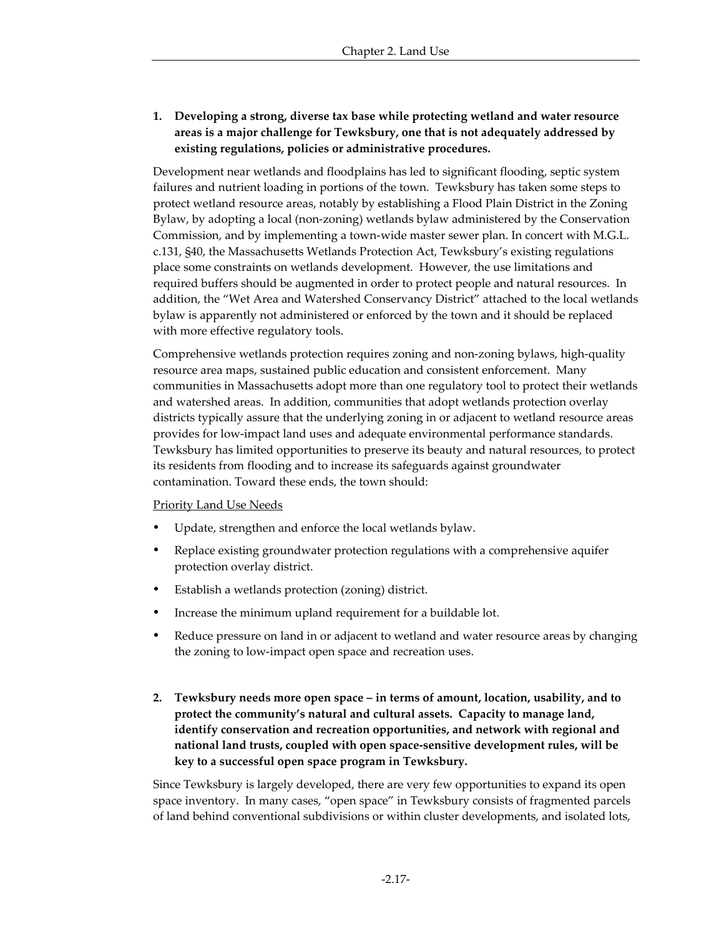# **1. Developing a strong, diverse tax base while protecting wetland and water resource areas is a major challenge for Tewksbury, one that is not adequately addressed by existing regulations, policies or administrative procedures.**

Development near wetlands and floodplains has led to significant flooding, septic system failures and nutrient loading in portions of the town. Tewksbury has taken some steps to protect wetland resource areas, notably by establishing a Flood Plain District in the Zoning Bylaw, by adopting a local (non-zoning) wetlands bylaw administered by the Conservation Commission, and by implementing a town-wide master sewer plan. In concert with M.G.L. c.131, §40, the Massachusetts Wetlands Protection Act, Tewksbury's existing regulations place some constraints on wetlands development. However, the use limitations and required buffers should be augmented in order to protect people and natural resources. In addition, the "Wet Area and Watershed Conservancy District" attached to the local wetlands bylaw is apparently not administered or enforced by the town and it should be replaced with more effective regulatory tools.

Comprehensive wetlands protection requires zoning and non-zoning bylaws, high-quality resource area maps, sustained public education and consistent enforcement. Many communities in Massachusetts adopt more than one regulatory tool to protect their wetlands and watershed areas. In addition, communities that adopt wetlands protection overlay districts typically assure that the underlying zoning in or adjacent to wetland resource areas provides for low-impact land uses and adequate environmental performance standards. Tewksbury has limited opportunities to preserve its beauty and natural resources, to protect its residents from flooding and to increase its safeguards against groundwater contamination. Toward these ends, the town should:

### Priority Land Use Needs

- ü Update, strengthen and enforce the local wetlands bylaw.
- Replace existing groundwater protection regulations with a comprehensive aquifer protection overlay district.
- Establish a wetlands protection (zoning) district.
- Increase the minimum upland requirement for a buildable lot.
- Reduce pressure on land in or adjacent to wetland and water resource areas by changing the zoning to low-impact open space and recreation uses.
- **2. Tewksbury needs more open space in terms of amount, location, usability, and to protect the community's natural and cultural assets. Capacity to manage land, identify conservation and recreation opportunities, and network with regional and national land trusts, coupled with open space-sensitive development rules, will be key to a successful open space program in Tewksbury.**

Since Tewksbury is largely developed, there are very few opportunities to expand its open space inventory. In many cases, "open space" in Tewksbury consists of fragmented parcels of land behind conventional subdivisions or within cluster developments, and isolated lots,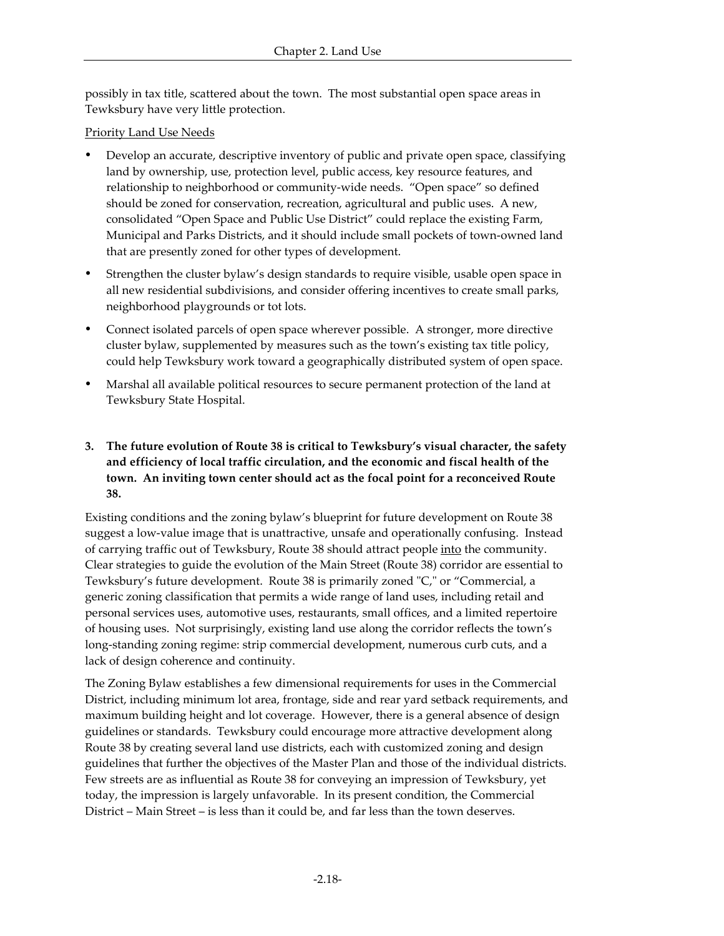possibly in tax title, scattered about the town. The most substantial open space areas in Tewksbury have very little protection.

# Priority Land Use Needs

- Develop an accurate, descriptive inventory of public and private open space, classifying land by ownership, use, protection level, public access, key resource features, and relationship to neighborhood or community-wide needs. "Open space" so defined should be zoned for conservation, recreation, agricultural and public uses. A new, consolidated "Open Space and Public Use District" could replace the existing Farm, Municipal and Parks Districts, and it should include small pockets of town-owned land that are presently zoned for other types of development.
- ü Strengthen the cluster bylaw's design standards to require visible, usable open space in all new residential subdivisions, and consider offering incentives to create small parks, neighborhood playgrounds or tot lots.
- ü Connect isolated parcels of open space wherever possible. A stronger, more directive cluster bylaw, supplemented by measures such as the town's existing tax title policy, could help Tewksbury work toward a geographically distributed system of open space.
- ü Marshal all available political resources to secure permanent protection of the land at Tewksbury State Hospital.
- **3. The future evolution of Route 38 is critical to Tewksbury's visual character, the safety and efficiency of local traffic circulation, and the economic and fiscal health of the town. An inviting town center should act as the focal point for a reconceived Route 38.**

Existing conditions and the zoning bylaw's blueprint for future development on Route 38 suggest a low-value image that is unattractive, unsafe and operationally confusing. Instead of carrying traffic out of Tewksbury, Route 38 should attract people into the community. Clear strategies to guide the evolution of the Main Street (Route 38) corridor are essential to Tewksbury's future development. Route 38 is primarily zoned "C," or "Commercial, a generic zoning classification that permits a wide range of land uses, including retail and personal services uses, automotive uses, restaurants, small offices, and a limited repertoire of housing uses. Not surprisingly, existing land use along the corridor reflects the town's long-standing zoning regime: strip commercial development, numerous curb cuts, and a lack of design coherence and continuity.

The Zoning Bylaw establishes a few dimensional requirements for uses in the Commercial District, including minimum lot area, frontage, side and rear yard setback requirements, and maximum building height and lot coverage. However, there is a general absence of design guidelines or standards. Tewksbury could encourage more attractive development along Route 38 by creating several land use districts, each with customized zoning and design guidelines that further the objectives of the Master Plan and those of the individual districts. Few streets are as influential as Route 38 for conveying an impression of Tewksbury, yet today, the impression is largely unfavorable. In its present condition, the Commercial District – Main Street – is less than it could be, and far less than the town deserves.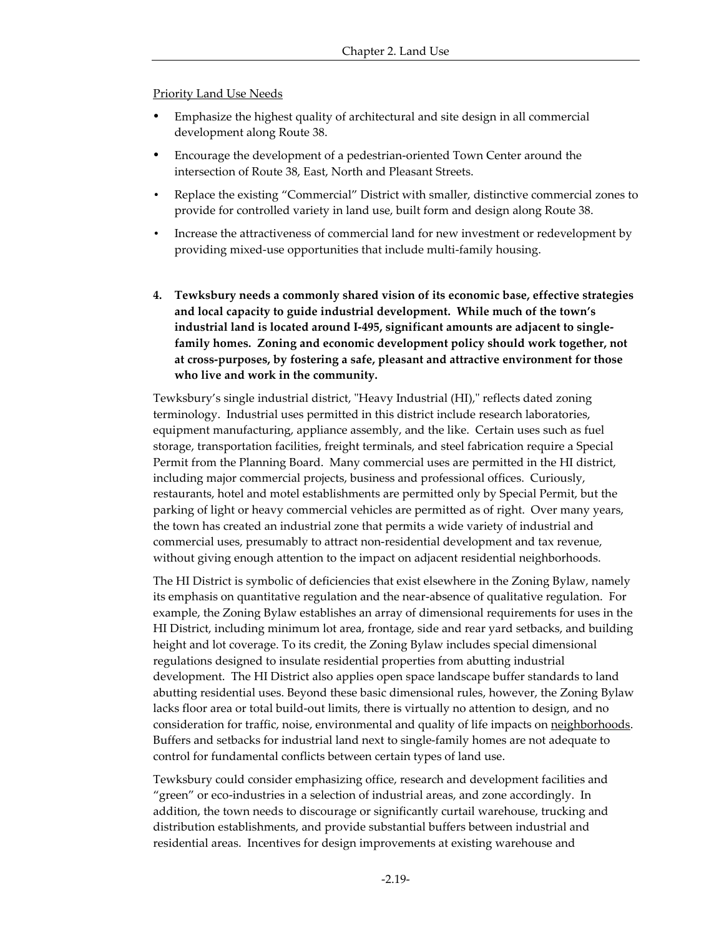Priority Land Use Needs

- Emphasize the highest quality of architectural and site design in all commercial development along Route 38.
- ü Encourage the development of a pedestrian-oriented Town Center around the intersection of Route 38, East, North and Pleasant Streets.
- Replace the existing "Commercial" District with smaller, distinctive commercial zones to provide for controlled variety in land use, built form and design along Route 38.
- Increase the attractiveness of commercial land for new investment or redevelopment by providing mixed-use opportunities that include multi-family housing.
- **4. Tewksbury needs a commonly shared vision of its economic base, effective strategies and local capacity to guide industrial development. While much of the town's industrial land is located around I-495, significant amounts are adjacent to singlefamily homes. Zoning and economic development policy should work together, not at cross-purposes, by fostering a safe, pleasant and attractive environment for those who live and work in the community.**

Tewksbury's single industrial district, "Heavy Industrial (HI)," reflects dated zoning terminology. Industrial uses permitted in this district include research laboratories, equipment manufacturing, appliance assembly, and the like. Certain uses such as fuel storage, transportation facilities, freight terminals, and steel fabrication require a Special Permit from the Planning Board. Many commercial uses are permitted in the HI district, including major commercial projects, business and professional offices. Curiously, restaurants, hotel and motel establishments are permitted only by Special Permit, but the parking of light or heavy commercial vehicles are permitted as of right. Over many years, the town has created an industrial zone that permits a wide variety of industrial and commercial uses, presumably to attract non-residential development and tax revenue, without giving enough attention to the impact on adjacent residential neighborhoods.

The HI District is symbolic of deficiencies that exist elsewhere in the Zoning Bylaw, namely its emphasis on quantitative regulation and the near-absence of qualitative regulation. For example, the Zoning Bylaw establishes an array of dimensional requirements for uses in the HI District, including minimum lot area, frontage, side and rear yard setbacks, and building height and lot coverage. To its credit, the Zoning Bylaw includes special dimensional regulations designed to insulate residential properties from abutting industrial development. The HI District also applies open space landscape buffer standards to land abutting residential uses. Beyond these basic dimensional rules, however, the Zoning Bylaw lacks floor area or total build-out limits, there is virtually no attention to design, and no consideration for traffic, noise, environmental and quality of life impacts on neighborhoods. Buffers and setbacks for industrial land next to single-family homes are not adequate to control for fundamental conflicts between certain types of land use.

Tewksbury could consider emphasizing office, research and development facilities and "green" or eco-industries in a selection of industrial areas, and zone accordingly. In addition, the town needs to discourage or significantly curtail warehouse, trucking and distribution establishments, and provide substantial buffers between industrial and residential areas. Incentives for design improvements at existing warehouse and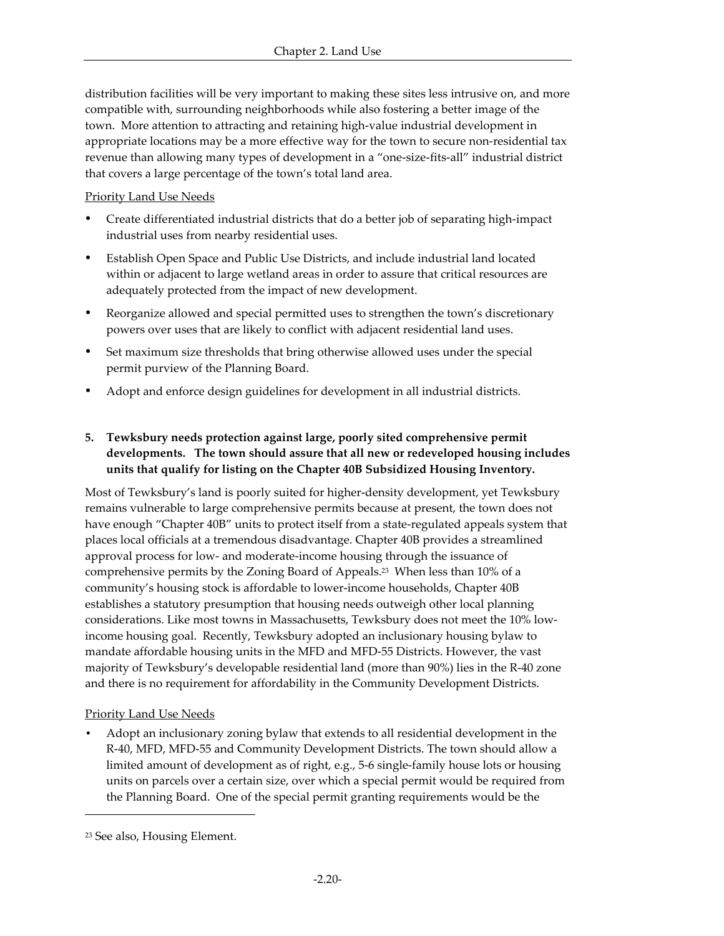distribution facilities will be very important to making these sites less intrusive on, and more compatible with, surrounding neighborhoods while also fostering a better image of the town. More attention to attracting and retaining high-value industrial development in appropriate locations may be a more effective way for the town to secure non-residential tax revenue than allowing many types of development in a "one-size-fits-all" industrial district that covers a large percentage of the town's total land area.

### Priority Land Use Needs

- ü Create differentiated industrial districts that do a better job of separating high-impact industrial uses from nearby residential uses.
- ü Establish Open Space and Public Use Districts, and include industrial land located within or adjacent to large wetland areas in order to assure that critical resources are adequately protected from the impact of new development.
- Reorganize allowed and special permitted uses to strengthen the town's discretionary powers over uses that are likely to conflict with adjacent residential land uses.
- ü Set maximum size thresholds that bring otherwise allowed uses under the special permit purview of the Planning Board.
- Adopt and enforce design guidelines for development in all industrial districts.

# **5. Tewksbury needs protection against large, poorly sited comprehensive permit developments. The town should assure that all new or redeveloped housing includes units that qualify for listing on the Chapter 40B Subsidized Housing Inventory.**

Most of Tewksbury's land is poorly suited for higher-density development, yet Tewksbury remains vulnerable to large comprehensive permits because at present, the town does not have enough "Chapter 40B" units to protect itself from a state-regulated appeals system that places local officials at a tremendous disadvantage. Chapter 40B provides a streamlined approval process for low- and moderate-income housing through the issuance of comprehensive permits by the Zoning Board of Appeals.23 When less than 10% of a community's housing stock is affordable to lower-income households, Chapter 40B establishes a statutory presumption that housing needs outweigh other local planning considerations. Like most towns in Massachusetts, Tewksbury does not meet the 10% lowincome housing goal. Recently, Tewksbury adopted an inclusionary housing bylaw to mandate affordable housing units in the MFD and MFD-55 Districts. However, the vast majority of Tewksbury's developable residential land (more than 90%) lies in the R-40 zone and there is no requirement for affordability in the Community Development Districts.

## Priority Land Use Needs

• Adopt an inclusionary zoning bylaw that extends to all residential development in the R-40, MFD, MFD-55 and Community Development Districts. The town should allow a limited amount of development as of right, e.g., 5-6 single-family house lots or housing units on parcels over a certain size, over which a special permit would be required from the Planning Board. One of the special permit granting requirements would be the

<sup>23</sup> See also, Housing Element.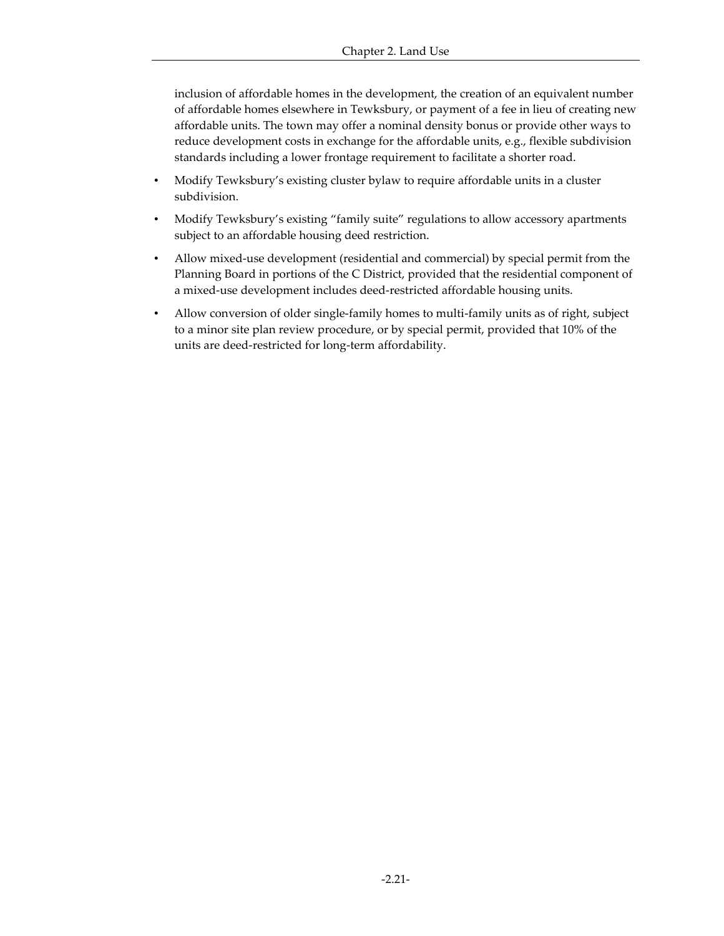inclusion of affordable homes in the development, the creation of an equivalent number of affordable homes elsewhere in Tewksbury, or payment of a fee in lieu of creating new affordable units. The town may offer a nominal density bonus or provide other ways to reduce development costs in exchange for the affordable units, e.g., flexible subdivision standards including a lower frontage requirement to facilitate a shorter road.

- Modify Tewksbury's existing cluster bylaw to require affordable units in a cluster subdivision.
- Modify Tewksbury's existing "family suite" regulations to allow accessory apartments subject to an affordable housing deed restriction.
- Allow mixed-use development (residential and commercial) by special permit from the Planning Board in portions of the C District, provided that the residential component of a mixed-use development includes deed-restricted affordable housing units.
- Allow conversion of older single-family homes to multi-family units as of right, subject to a minor site plan review procedure, or by special permit, provided that 10% of the units are deed-restricted for long-term affordability.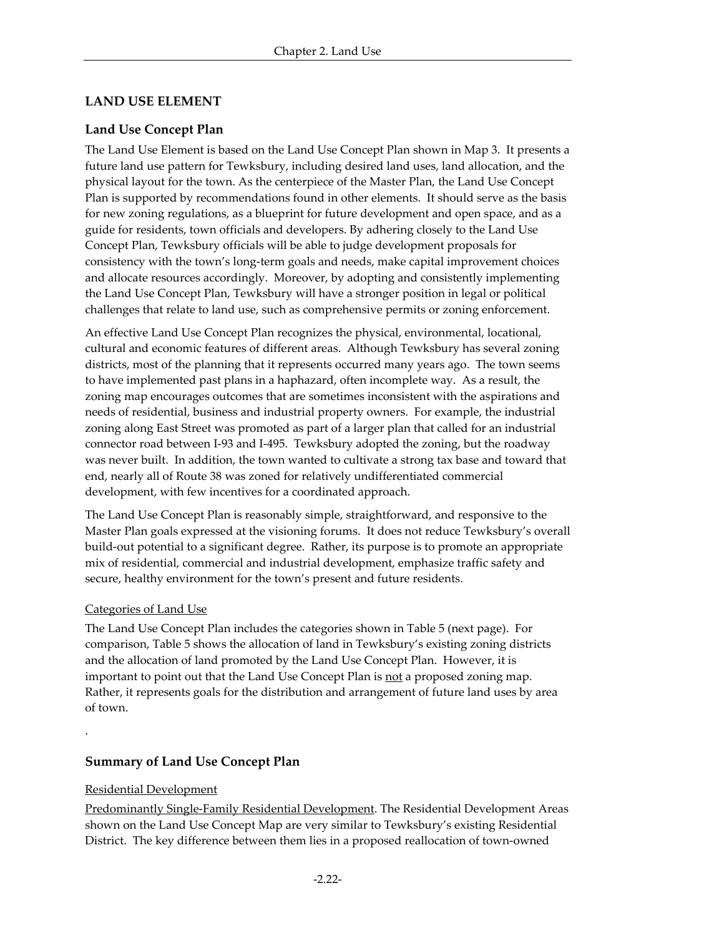# **LAND USE ELEMENT**

# **Land Use Concept Plan**

The Land Use Element is based on the Land Use Concept Plan shown in Map 3. It presents a future land use pattern for Tewksbury, including desired land uses, land allocation, and the physical layout for the town. As the centerpiece of the Master Plan, the Land Use Concept Plan is supported by recommendations found in other elements. It should serve as the basis for new zoning regulations, as a blueprint for future development and open space, and as a guide for residents, town officials and developers. By adhering closely to the Land Use Concept Plan, Tewksbury officials will be able to judge development proposals for consistency with the town's long-term goals and needs, make capital improvement choices and allocate resources accordingly. Moreover, by adopting and consistently implementing the Land Use Concept Plan, Tewksbury will have a stronger position in legal or political challenges that relate to land use, such as comprehensive permits or zoning enforcement.

An effective Land Use Concept Plan recognizes the physical, environmental, locational, cultural and economic features of different areas. Although Tewksbury has several zoning districts, most of the planning that it represents occurred many years ago. The town seems to have implemented past plans in a haphazard, often incomplete way. As a result, the zoning map encourages outcomes that are sometimes inconsistent with the aspirations and needs of residential, business and industrial property owners. For example, the industrial zoning along East Street was promoted as part of a larger plan that called for an industrial connector road between I-93 and I-495. Tewksbury adopted the zoning, but the roadway was never built. In addition, the town wanted to cultivate a strong tax base and toward that end, nearly all of Route 38 was zoned for relatively undifferentiated commercial development, with few incentives for a coordinated approach.

The Land Use Concept Plan is reasonably simple, straightforward, and responsive to the Master Plan goals expressed at the visioning forums. It does not reduce Tewksbury's overall build-out potential to a significant degree. Rather, its purpose is to promote an appropriate mix of residential, commercial and industrial development, emphasize traffic safety and secure, healthy environment for the town's present and future residents.

## Categories of Land Use

The Land Use Concept Plan includes the categories shown in Table 5 (next page). For comparison, Table 5 shows the allocation of land in Tewksbury's existing zoning districts and the allocation of land promoted by the Land Use Concept Plan. However, it is important to point out that the Land Use Concept Plan is not a proposed zoning map. Rather, it represents goals for the distribution and arrangement of future land uses by area of town.

# **Summary of Land Use Concept Plan**

## Residential Development

.

Predominantly Single-Family Residential Development. The Residential Development Areas shown on the Land Use Concept Map are very similar to Tewksbury's existing Residential District. The key difference between them lies in a proposed reallocation of town-owned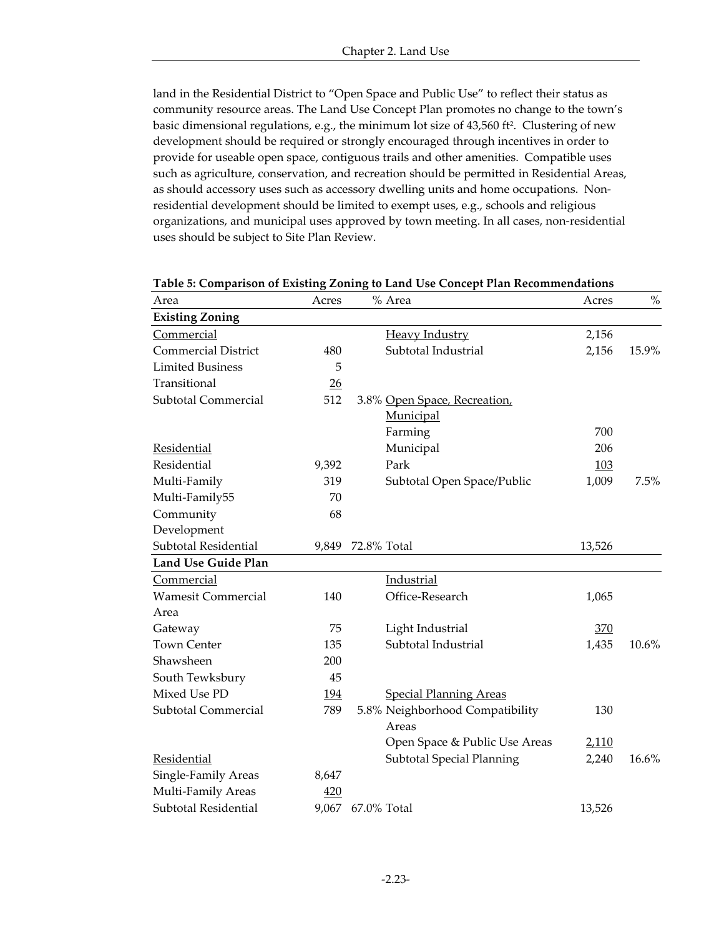land in the Residential District to "Open Space and Public Use" to reflect their status as community resource areas. The Land Use Concept Plan promotes no change to the town's basic dimensional regulations, e.g., the minimum lot size of 43,560 ft<sup>2</sup>. Clustering of new development should be required or strongly encouraged through incentives in order to provide for useable open space, contiguous trails and other amenities. Compatible uses such as agriculture, conservation, and recreation should be permitted in Residential Areas, as should accessory uses such as accessory dwelling units and home occupations. Nonresidential development should be limited to exempt uses, e.g., schools and religious organizations, and municipal uses approved by town meeting. In all cases, non-residential uses should be subject to Site Plan Review.

| Area                              | Acres      | % Area                                    | Acres  | $\%$  |
|-----------------------------------|------------|-------------------------------------------|--------|-------|
| <b>Existing Zoning</b>            |            |                                           |        |       |
| Commercial                        |            | <b>Heavy Industry</b>                     | 2,156  |       |
| <b>Commercial District</b>        | 480        | Subtotal Industrial                       | 2,156  | 15.9% |
| <b>Limited Business</b>           | 5          |                                           |        |       |
| Transitional                      | 26         |                                           |        |       |
| Subtotal Commercial               | 512        | 3.8% Open Space, Recreation,<br>Municipal |        |       |
|                                   |            | Farming                                   | 700    |       |
| Residential                       |            | Municipal                                 | 206    |       |
| Residential                       | 9,392      | Park                                      | 103    |       |
| Multi-Family                      | 319        | Subtotal Open Space/Public                | 1,009  | 7.5%  |
| Multi-Family55                    | 70         |                                           |        |       |
| Community<br>Development          | 68         |                                           |        |       |
| Subtotal Residential              | 9,849      | 72.8% Total                               | 13,526 |       |
| <b>Land Use Guide Plan</b>        |            |                                           |        |       |
| Commercial                        |            | Industrial                                |        |       |
| <b>Wamesit Commercial</b><br>Area | 140        | Office-Research                           | 1,065  |       |
| Gateway                           | 75         | Light Industrial                          | 370    |       |
| <b>Town Center</b>                | 135        | Subtotal Industrial                       | 1,435  | 10.6% |
| Shawsheen                         | 200        |                                           |        |       |
| South Tewksbury                   | 45         |                                           |        |       |
| Mixed Use PD                      | 194        | <b>Special Planning Areas</b>             |        |       |
| Subtotal Commercial               | 789        | 5.8% Neighborhood Compatibility<br>Areas  | 130    |       |
|                                   |            | Open Space & Public Use Areas             | 2,110  |       |
| Residential                       |            | <b>Subtotal Special Planning</b>          | 2,240  | 16.6% |
| Single-Family Areas               | 8,647      |                                           |        |       |
| Multi-Family Areas                | <u>420</u> |                                           |        |       |
| Subtotal Residential              | 9,067      | 67.0% Total                               | 13,526 |       |

**Table 5: Comparison of Existing Zoning to Land Use Concept Plan Recommendations**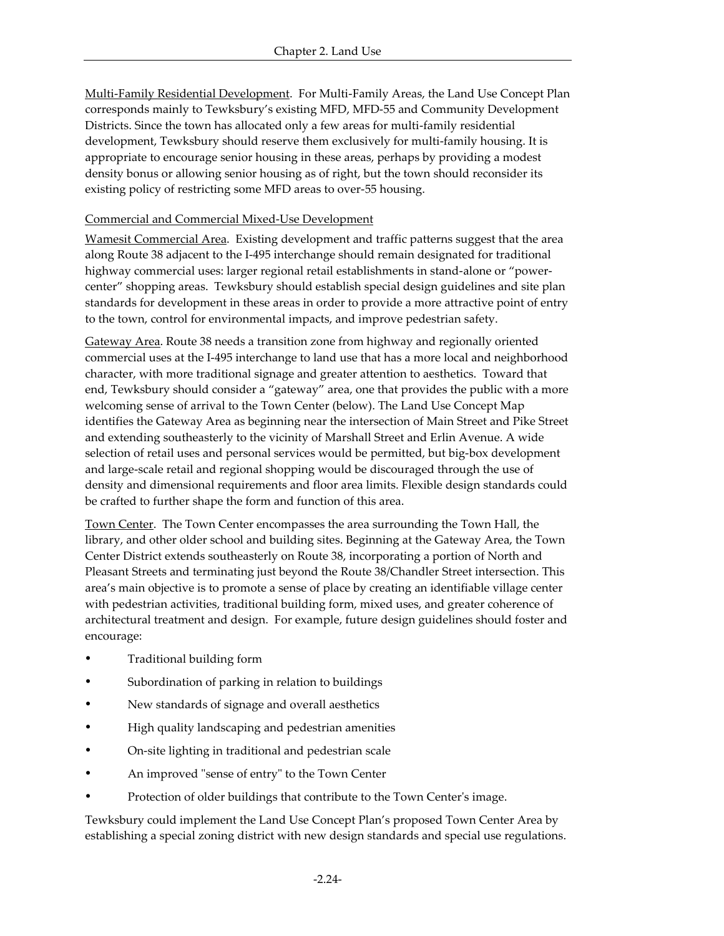Multi-Family Residential Development. For Multi-Family Areas, the Land Use Concept Plan corresponds mainly to Tewksbury's existing MFD, MFD-55 and Community Development Districts. Since the town has allocated only a few areas for multi-family residential development, Tewksbury should reserve them exclusively for multi-family housing. It is appropriate to encourage senior housing in these areas, perhaps by providing a modest density bonus or allowing senior housing as of right, but the town should reconsider its existing policy of restricting some MFD areas to over-55 housing.

## Commercial and Commercial Mixed-Use Development

Wamesit Commercial Area. Existing development and traffic patterns suggest that the area along Route 38 adjacent to the I-495 interchange should remain designated for traditional highway commercial uses: larger regional retail establishments in stand-alone or "powercenter" shopping areas. Tewksbury should establish special design guidelines and site plan standards for development in these areas in order to provide a more attractive point of entry to the town, control for environmental impacts, and improve pedestrian safety.

Gateway Area. Route 38 needs a transition zone from highway and regionally oriented commercial uses at the I-495 interchange to land use that has a more local and neighborhood character, with more traditional signage and greater attention to aesthetics. Toward that end, Tewksbury should consider a "gateway" area, one that provides the public with a more welcoming sense of arrival to the Town Center (below). The Land Use Concept Map identifies the Gateway Area as beginning near the intersection of Main Street and Pike Street and extending southeasterly to the vicinity of Marshall Street and Erlin Avenue. A wide selection of retail uses and personal services would be permitted, but big-box development and large-scale retail and regional shopping would be discouraged through the use of density and dimensional requirements and floor area limits. Flexible design standards could be crafted to further shape the form and function of this area.

Town Center. The Town Center encompasses the area surrounding the Town Hall, the library, and other older school and building sites. Beginning at the Gateway Area, the Town Center District extends southeasterly on Route 38, incorporating a portion of North and Pleasant Streets and terminating just beyond the Route 38/Chandler Street intersection. This area's main objective is to promote a sense of place by creating an identifiable village center with pedestrian activities, traditional building form, mixed uses, and greater coherence of architectural treatment and design. For example, future design guidelines should foster and encourage:

- Traditional building form
- Subordination of parking in relation to buildings
- New standards of signage and overall aesthetics
- High quality landscaping and pedestrian amenities
- ü On-site lighting in traditional and pedestrian scale
- An improved "sense of entry" to the Town Center
- Protection of older buildings that contribute to the Town Center's image.

Tewksbury could implement the Land Use Concept Plan's proposed Town Center Area by establishing a special zoning district with new design standards and special use regulations.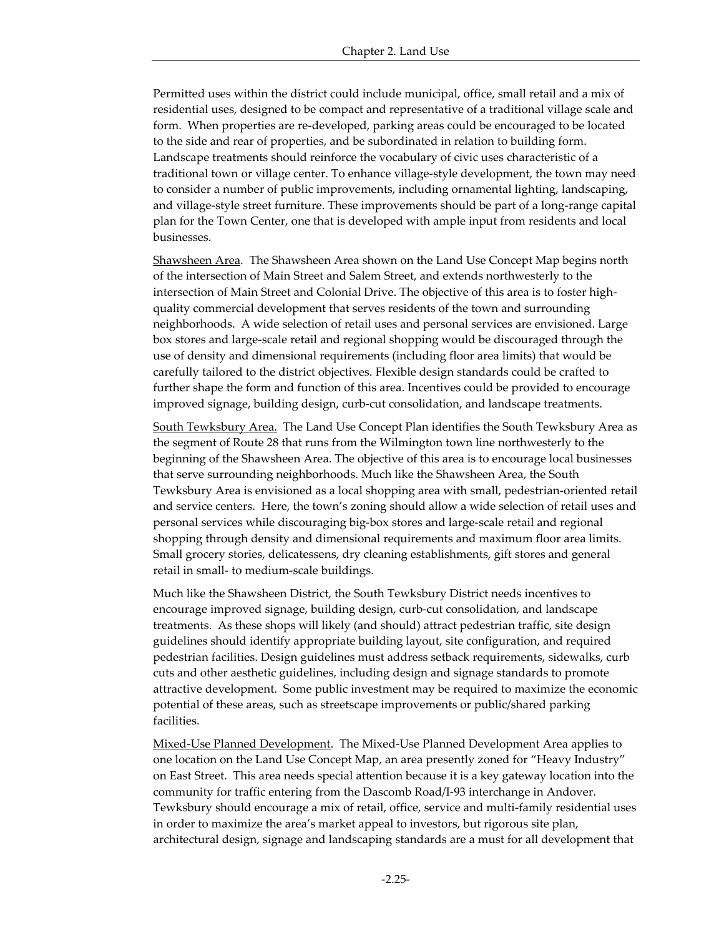Permitted uses within the district could include municipal, office, small retail and a mix of residential uses, designed to be compact and representative of a traditional village scale and form. When properties are re-developed, parking areas could be encouraged to be located to the side and rear of properties, and be subordinated in relation to building form. Landscape treatments should reinforce the vocabulary of civic uses characteristic of a traditional town or village center. To enhance village-style development, the town may need to consider a number of public improvements, including ornamental lighting, landscaping, and village-style street furniture. These improvements should be part of a long-range capital plan for the Town Center, one that is developed with ample input from residents and local businesses.

Shawsheen Area. The Shawsheen Area shown on the Land Use Concept Map begins north of the intersection of Main Street and Salem Street, and extends northwesterly to the intersection of Main Street and Colonial Drive. The objective of this area is to foster highquality commercial development that serves residents of the town and surrounding neighborhoods. A wide selection of retail uses and personal services are envisioned. Large box stores and large-scale retail and regional shopping would be discouraged through the use of density and dimensional requirements (including floor area limits) that would be carefully tailored to the district objectives. Flexible design standards could be crafted to further shape the form and function of this area. Incentives could be provided to encourage improved signage, building design, curb-cut consolidation, and landscape treatments.

South Tewksbury Area. The Land Use Concept Plan identifies the South Tewksbury Area as the segment of Route 28 that runs from the Wilmington town line northwesterly to the beginning of the Shawsheen Area. The objective of this area is to encourage local businesses that serve surrounding neighborhoods. Much like the Shawsheen Area, the South Tewksbury Area is envisioned as a local shopping area with small, pedestrian-oriented retail and service centers. Here, the town's zoning should allow a wide selection of retail uses and personal services while discouraging big-box stores and large-scale retail and regional shopping through density and dimensional requirements and maximum floor area limits. Small grocery stories, delicatessens, dry cleaning establishments, gift stores and general retail in small- to medium-scale buildings.

Much like the Shawsheen District, the South Tewksbury District needs incentives to encourage improved signage, building design, curb-cut consolidation, and landscape treatments. As these shops will likely (and should) attract pedestrian traffic, site design guidelines should identify appropriate building layout, site configuration, and required pedestrian facilities. Design guidelines must address setback requirements, sidewalks, curb cuts and other aesthetic guidelines, including design and signage standards to promote attractive development. Some public investment may be required to maximize the economic potential of these areas, such as streetscape improvements or public/shared parking facilities.

Mixed-Use Planned Development. The Mixed-Use Planned Development Area applies to one location on the Land Use Concept Map, an area presently zoned for "Heavy Industry" on East Street. This area needs special attention because it is a key gateway location into the community for traffic entering from the Dascomb Road/I-93 interchange in Andover. Tewksbury should encourage a mix of retail, office, service and multi-family residential uses in order to maximize the area's market appeal to investors, but rigorous site plan, architectural design, signage and landscaping standards are a must for all development that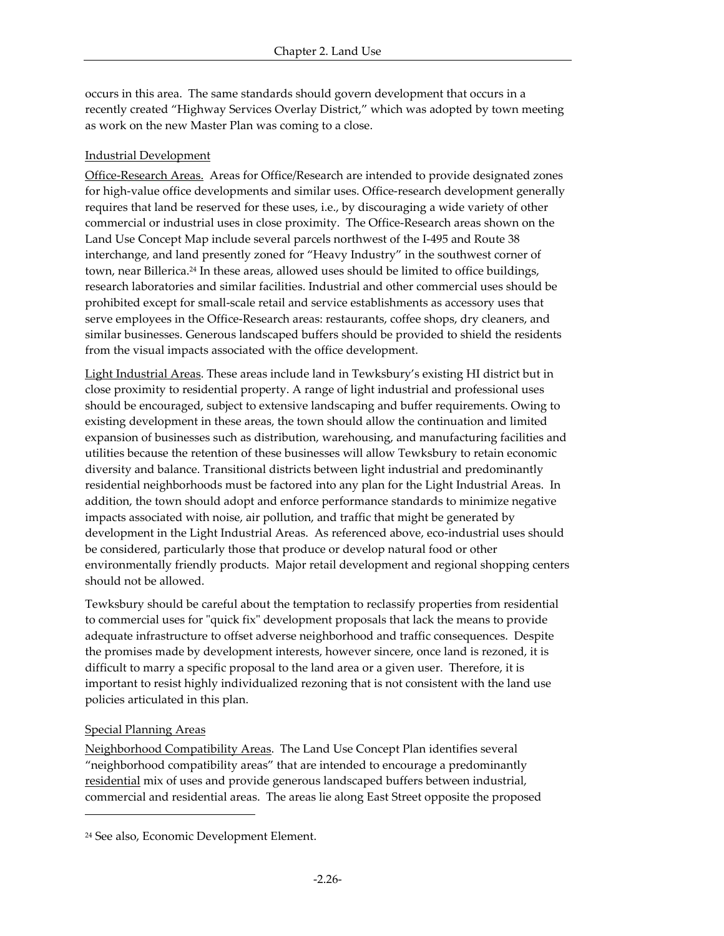occurs in this area. The same standards should govern development that occurs in a recently created "Highway Services Overlay District," which was adopted by town meeting as work on the new Master Plan was coming to a close.

## Industrial Development

Office-Research Areas. Areas for Office/Research are intended to provide designated zones for high-value office developments and similar uses. Office-research development generally requires that land be reserved for these uses, i.e., by discouraging a wide variety of other commercial or industrial uses in close proximity. The Office-Research areas shown on the Land Use Concept Map include several parcels northwest of the I-495 and Route 38 interchange, and land presently zoned for "Heavy Industry" in the southwest corner of town, near Billerica.24 In these areas, allowed uses should be limited to office buildings, research laboratories and similar facilities. Industrial and other commercial uses should be prohibited except for small-scale retail and service establishments as accessory uses that serve employees in the Office-Research areas: restaurants, coffee shops, dry cleaners, and similar businesses. Generous landscaped buffers should be provided to shield the residents from the visual impacts associated with the office development.

Light Industrial Areas. These areas include land in Tewksbury's existing HI district but in close proximity to residential property. A range of light industrial and professional uses should be encouraged, subject to extensive landscaping and buffer requirements. Owing to existing development in these areas, the town should allow the continuation and limited expansion of businesses such as distribution, warehousing, and manufacturing facilities and utilities because the retention of these businesses will allow Tewksbury to retain economic diversity and balance. Transitional districts between light industrial and predominantly residential neighborhoods must be factored into any plan for the Light Industrial Areas. In addition, the town should adopt and enforce performance standards to minimize negative impacts associated with noise, air pollution, and traffic that might be generated by development in the Light Industrial Areas. As referenced above, eco-industrial uses should be considered, particularly those that produce or develop natural food or other environmentally friendly products. Major retail development and regional shopping centers should not be allowed.

Tewksbury should be careful about the temptation to reclassify properties from residential to commercial uses for "quick fix" development proposals that lack the means to provide adequate infrastructure to offset adverse neighborhood and traffic consequences. Despite the promises made by development interests, however sincere, once land is rezoned, it is difficult to marry a specific proposal to the land area or a given user. Therefore, it is important to resist highly individualized rezoning that is not consistent with the land use policies articulated in this plan.

### Special Planning Areas

 $\overline{a}$ 

Neighborhood Compatibility Areas. The Land Use Concept Plan identifies several "neighborhood compatibility areas" that are intended to encourage a predominantly residential mix of uses and provide generous landscaped buffers between industrial, commercial and residential areas. The areas lie along East Street opposite the proposed

<sup>24</sup> See also, Economic Development Element.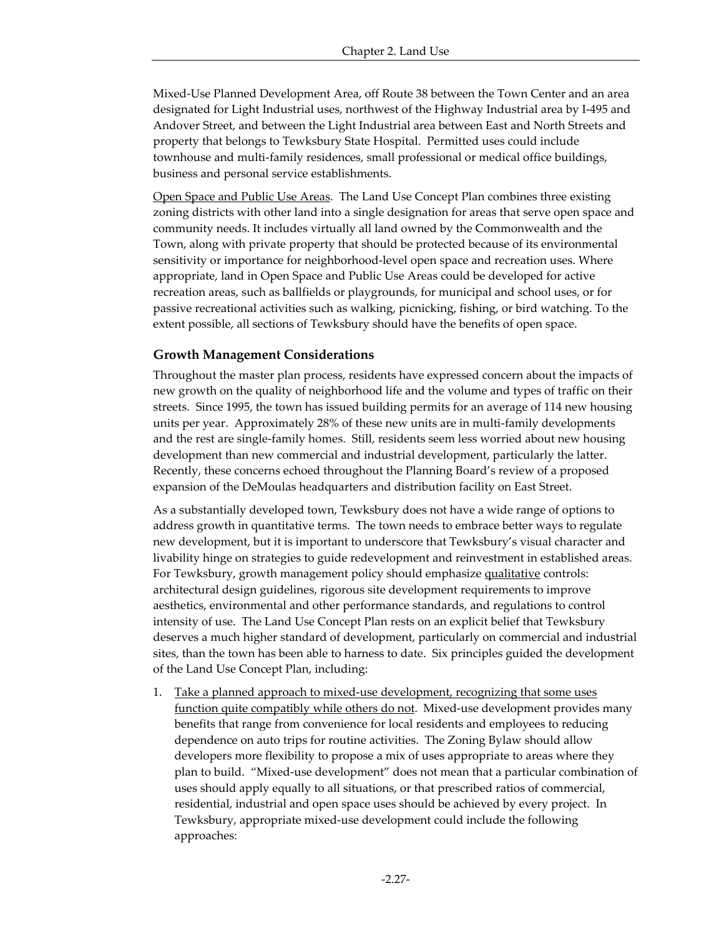Mixed-Use Planned Development Area, off Route 38 between the Town Center and an area designated for Light Industrial uses, northwest of the Highway Industrial area by I-495 and Andover Street, and between the Light Industrial area between East and North Streets and property that belongs to Tewksbury State Hospital. Permitted uses could include townhouse and multi-family residences, small professional or medical office buildings, business and personal service establishments.

Open Space and Public Use Areas. The Land Use Concept Plan combines three existing zoning districts with other land into a single designation for areas that serve open space and community needs. It includes virtually all land owned by the Commonwealth and the Town, along with private property that should be protected because of its environmental sensitivity or importance for neighborhood-level open space and recreation uses. Where appropriate, land in Open Space and Public Use Areas could be developed for active recreation areas, such as ballfields or playgrounds, for municipal and school uses, or for passive recreational activities such as walking, picnicking, fishing, or bird watching. To the extent possible, all sections of Tewksbury should have the benefits of open space.

#### **Growth Management Considerations**

Throughout the master plan process, residents have expressed concern about the impacts of new growth on the quality of neighborhood life and the volume and types of traffic on their streets. Since 1995, the town has issued building permits for an average of 114 new housing units per year. Approximately 28% of these new units are in multi-family developments and the rest are single-family homes. Still, residents seem less worried about new housing development than new commercial and industrial development, particularly the latter. Recently, these concerns echoed throughout the Planning Board's review of a proposed expansion of the DeMoulas headquarters and distribution facility on East Street.

As a substantially developed town, Tewksbury does not have a wide range of options to address growth in quantitative terms. The town needs to embrace better ways to regulate new development, but it is important to underscore that Tewksbury's visual character and livability hinge on strategies to guide redevelopment and reinvestment in established areas. For Tewksbury, growth management policy should emphasize qualitative controls: architectural design guidelines, rigorous site development requirements to improve aesthetics, environmental and other performance standards, and regulations to control intensity of use. The Land Use Concept Plan rests on an explicit belief that Tewksbury deserves a much higher standard of development, particularly on commercial and industrial sites, than the town has been able to harness to date. Six principles guided the development of the Land Use Concept Plan, including:

1. Take a planned approach to mixed-use development, recognizing that some uses function quite compatibly while others do not. Mixed-use development provides many benefits that range from convenience for local residents and employees to reducing dependence on auto trips for routine activities. The Zoning Bylaw should allow developers more flexibility to propose a mix of uses appropriate to areas where they plan to build. "Mixed-use development" does not mean that a particular combination of uses should apply equally to all situations, or that prescribed ratios of commercial, residential, industrial and open space uses should be achieved by every project. In Tewksbury, appropriate mixed-use development could include the following approaches: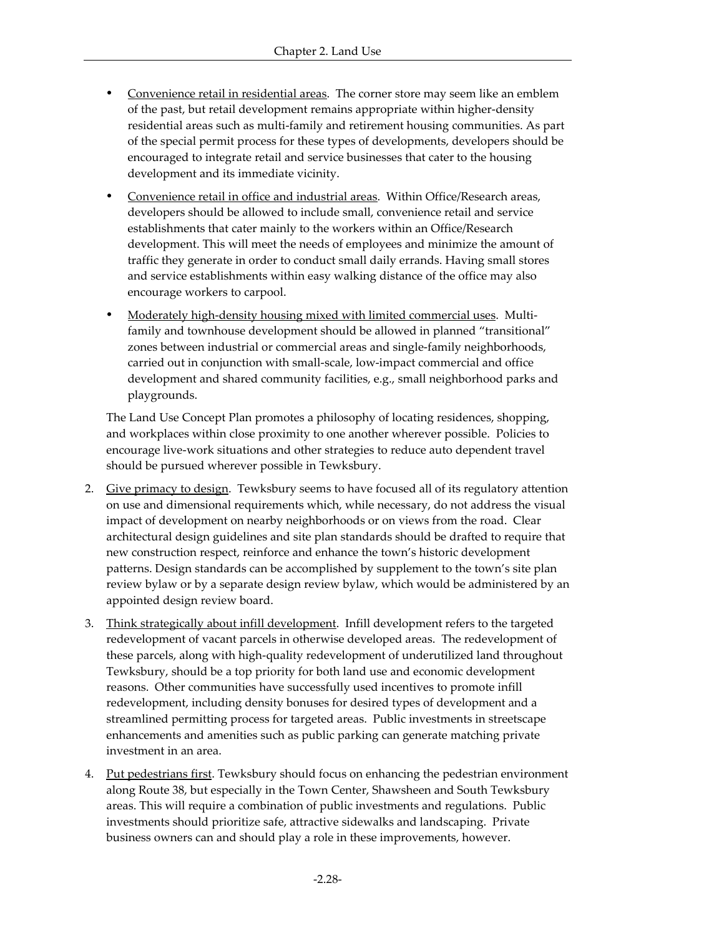- ü Convenience retail in residential areas. The corner store may seem like an emblem of the past, but retail development remains appropriate within higher-density residential areas such as multi-family and retirement housing communities. As part of the special permit process for these types of developments, developers should be encouraged to integrate retail and service businesses that cater to the housing development and its immediate vicinity.
- ü Convenience retail in office and industrial areas. Within Office/Research areas, developers should be allowed to include small, convenience retail and service establishments that cater mainly to the workers within an Office/Research development. This will meet the needs of employees and minimize the amount of traffic they generate in order to conduct small daily errands. Having small stores and service establishments within easy walking distance of the office may also encourage workers to carpool.
- <u>Moderately high-density housing mixed with limited commercial uses</u>. Multifamily and townhouse development should be allowed in planned "transitional" zones between industrial or commercial areas and single-family neighborhoods, carried out in conjunction with small-scale, low-impact commercial and office development and shared community facilities, e.g., small neighborhood parks and playgrounds.

The Land Use Concept Plan promotes a philosophy of locating residences, shopping, and workplaces within close proximity to one another wherever possible. Policies to encourage live-work situations and other strategies to reduce auto dependent travel should be pursued wherever possible in Tewksbury.

- 2. Give primacy to design. Tewksbury seems to have focused all of its regulatory attention on use and dimensional requirements which, while necessary, do not address the visual impact of development on nearby neighborhoods or on views from the road. Clear architectural design guidelines and site plan standards should be drafted to require that new construction respect, reinforce and enhance the town's historic development patterns. Design standards can be accomplished by supplement to the town's site plan review bylaw or by a separate design review bylaw, which would be administered by an appointed design review board.
- 3. Think strategically about infill development. Infill development refers to the targeted redevelopment of vacant parcels in otherwise developed areas. The redevelopment of these parcels, along with high-quality redevelopment of underutilized land throughout Tewksbury, should be a top priority for both land use and economic development reasons. Other communities have successfully used incentives to promote infill redevelopment, including density bonuses for desired types of development and a streamlined permitting process for targeted areas. Public investments in streetscape enhancements and amenities such as public parking can generate matching private investment in an area.
- 4. Put pedestrians first. Tewksbury should focus on enhancing the pedestrian environment along Route 38, but especially in the Town Center, Shawsheen and South Tewksbury areas. This will require a combination of public investments and regulations. Public investments should prioritize safe, attractive sidewalks and landscaping. Private business owners can and should play a role in these improvements, however.